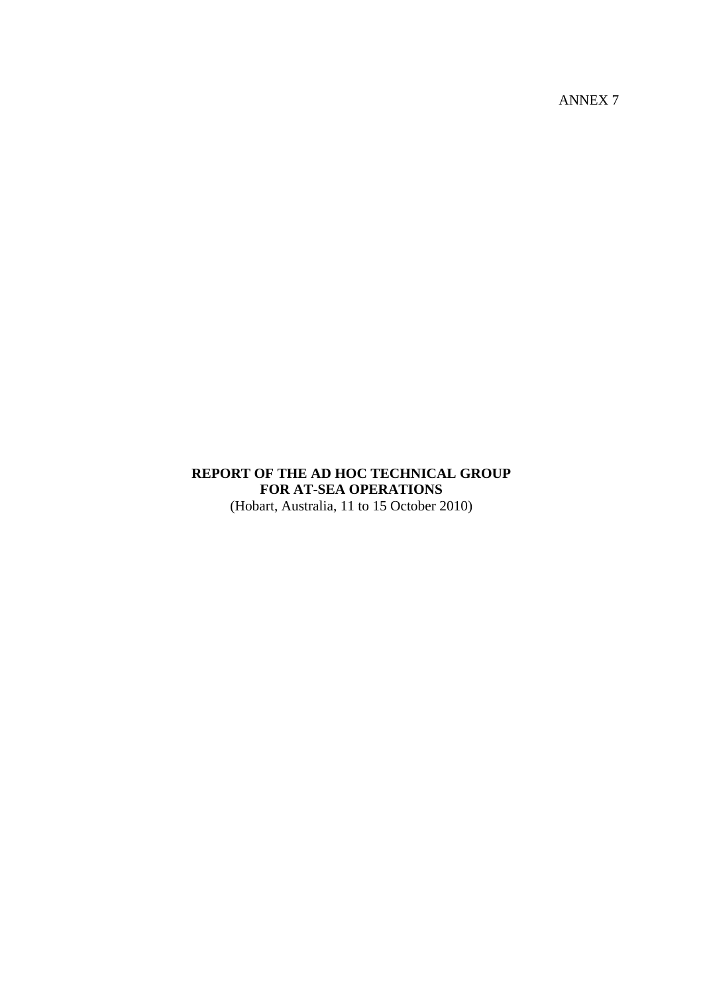ANNEX 7

## **REPORT OF THE AD HOC TECHNICAL GROUP FOR AT-SEA OPERATIONS**  (Hobart, Australia, 11 to 15 October 2010)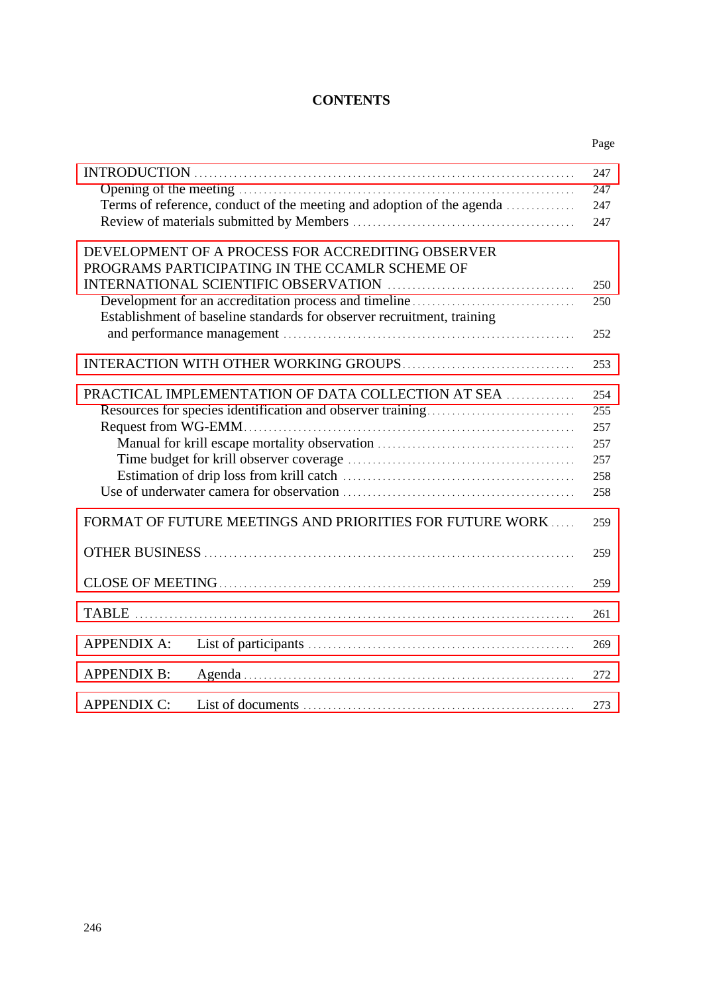## **CONTENTS**

|                    |                                                                                                     | Page              |
|--------------------|-----------------------------------------------------------------------------------------------------|-------------------|
|                    |                                                                                                     | 247               |
|                    | Terms of reference, conduct of the meeting and adoption of the agenda                               | 247<br>247<br>247 |
|                    | DEVELOPMENT OF A PROCESS FOR ACCREDITING OBSERVER<br>PROGRAMS PARTICIPATING IN THE CCAMLR SCHEME OF |                   |
|                    |                                                                                                     | 250               |
|                    |                                                                                                     | 250               |
|                    | Establishment of baseline standards for observer recruitment, training                              |                   |
|                    |                                                                                                     | 252               |
|                    |                                                                                                     | 253               |
|                    | <b>PRACTICAL IMPLEMENTATION OF DATA COLLECTION AT SEA </b>                                          | 254               |
|                    |                                                                                                     | 255               |
|                    |                                                                                                     | 257               |
|                    |                                                                                                     | 257               |
|                    |                                                                                                     | 257               |
|                    |                                                                                                     | 258               |
|                    |                                                                                                     | 258               |
|                    | FORMAT OF FUTURE MEETINGS AND PRIORITIES FOR FUTURE WORK                                            | 259               |
|                    |                                                                                                     | 259               |
|                    |                                                                                                     | 259               |
|                    |                                                                                                     | 261               |
| <b>APPENDIX A:</b> |                                                                                                     | 269               |
| <b>APPENDIX B:</b> |                                                                                                     | 272               |
| <b>APPENDIX C:</b> |                                                                                                     | 273               |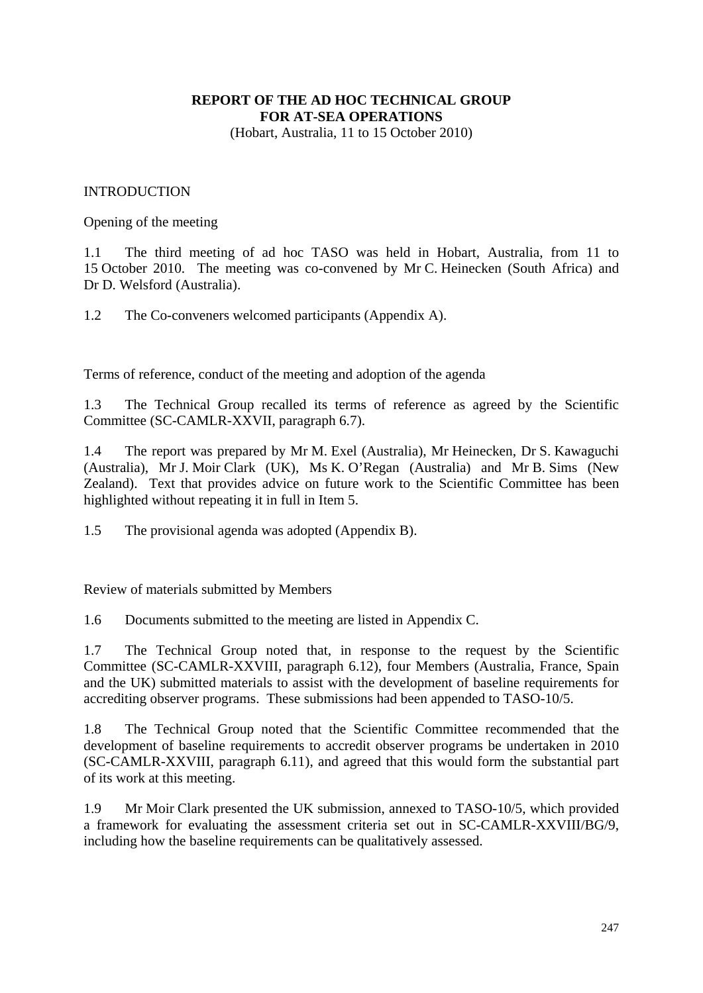# **REPORT OF THE AD HOC TECHNICAL GROUP FOR AT-SEA OPERATIONS**

(Hobart, Australia, 11 to 15 October 2010)

### <span id="page-2-0"></span>INTRODUCTION

Opening of the meeting

1.1 The third meeting of ad hoc TASO was held in Hobart, Australia, from 11 to 15 October 2010. The meeting was co-convened by Mr C. Heinecken (South Africa) and Dr D. Welsford (Australia).

1.2 The Co-conveners welcomed participants (Appendix A).

Terms of reference, conduct of the meeting and adoption of the agenda

1.3 The Technical Group recalled its terms of reference as agreed by the Scientific Committee (SC-CAMLR-XXVII, paragraph 6.7).

1.4 The report was prepared by Mr M. Exel (Australia), Mr Heinecken, Dr S. Kawaguchi (Australia), Mr J. Moir Clark (UK), Ms K. O'Regan (Australia) and Mr B. Sims (New Zealand). Text that provides advice on future work to the Scientific Committee has been highlighted without repeating it in full in Item 5.

1.5 The provisional agenda was adopted (Appendix B).

Review of materials submitted by Members

1.6 Documents submitted to the meeting are listed in Appendix C.

1.7 The Technical Group noted that, in response to the request by the Scientific Committee (SC-CAMLR-XXVIII, paragraph 6.12), four Members (Australia, France, Spain and the UK) submitted materials to assist with the development of baseline requirements for accrediting observer programs. These submissions had been appended to TASO-10/5.

1.8 The Technical Group noted that the Scientific Committee recommended that the development of baseline requirements to accredit observer programs be undertaken in 2010 (SC-CAMLR-XXVIII, paragraph 6.11), and agreed that this would form the substantial part of its work at this meeting.

1.9 Mr Moir Clark presented the UK submission, annexed to TASO-10/5, which provided a framework for evaluating the assessment criteria set out in SC-CAMLR-XXVIII/BG/9, including how the baseline requirements can be qualitatively assessed.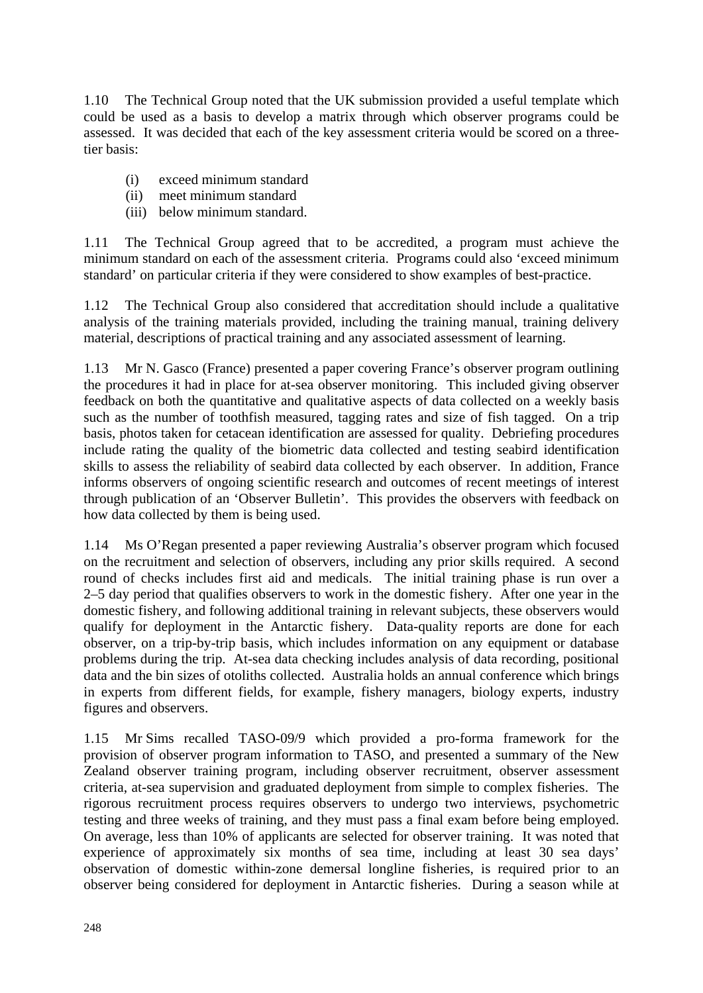1.10 The Technical Group noted that the UK submission provided a useful template which could be used as a basis to develop a matrix through which observer programs could be assessed. It was decided that each of the key assessment criteria would be scored on a threetier basis:

- (i) exceed minimum standard
- (ii) meet minimum standard
- (iii) below minimum standard.

1.11 The Technical Group agreed that to be accredited, a program must achieve the minimum standard on each of the assessment criteria. Programs could also 'exceed minimum standard' on particular criteria if they were considered to show examples of best-practice.

1.12 The Technical Group also considered that accreditation should include a qualitative analysis of the training materials provided, including the training manual, training delivery material, descriptions of practical training and any associated assessment of learning.

1.13 Mr N. Gasco (France) presented a paper covering France's observer program outlining the procedures it had in place for at-sea observer monitoring. This included giving observer feedback on both the quantitative and qualitative aspects of data collected on a weekly basis such as the number of toothfish measured, tagging rates and size of fish tagged. On a trip basis, photos taken for cetacean identification are assessed for quality. Debriefing procedures include rating the quality of the biometric data collected and testing seabird identification skills to assess the reliability of seabird data collected by each observer. In addition, France informs observers of ongoing scientific research and outcomes of recent meetings of interest through publication of an 'Observer Bulletin'. This provides the observers with feedback on how data collected by them is being used.

1.14 Ms O'Regan presented a paper reviewing Australia's observer program which focused on the recruitment and selection of observers, including any prior skills required. A second round of checks includes first aid and medicals. The initial training phase is run over a 2–5 day period that qualifies observers to work in the domestic fishery. After one year in the domestic fishery, and following additional training in relevant subjects, these observers would qualify for deployment in the Antarctic fishery. Data-quality reports are done for each observer, on a trip-by-trip basis, which includes information on any equipment or database problems during the trip. At-sea data checking includes analysis of data recording, positional data and the bin sizes of otoliths collected. Australia holds an annual conference which brings in experts from different fields, for example, fishery managers, biology experts, industry figures and observers.

1.15 Mr Sims recalled TASO-09/9 which provided a pro-forma framework for the provision of observer program information to TASO, and presented a summary of the New Zealand observer training program, including observer recruitment, observer assessment criteria, at-sea supervision and graduated deployment from simple to complex fisheries. The rigorous recruitment process requires observers to undergo two interviews, psychometric testing and three weeks of training, and they must pass a final exam before being employed. On average, less than 10% of applicants are selected for observer training. It was noted that experience of approximately six months of sea time, including at least 30 sea days' observation of domestic within-zone demersal longline fisheries, is required prior to an observer being considered for deployment in Antarctic fisheries. During a season while at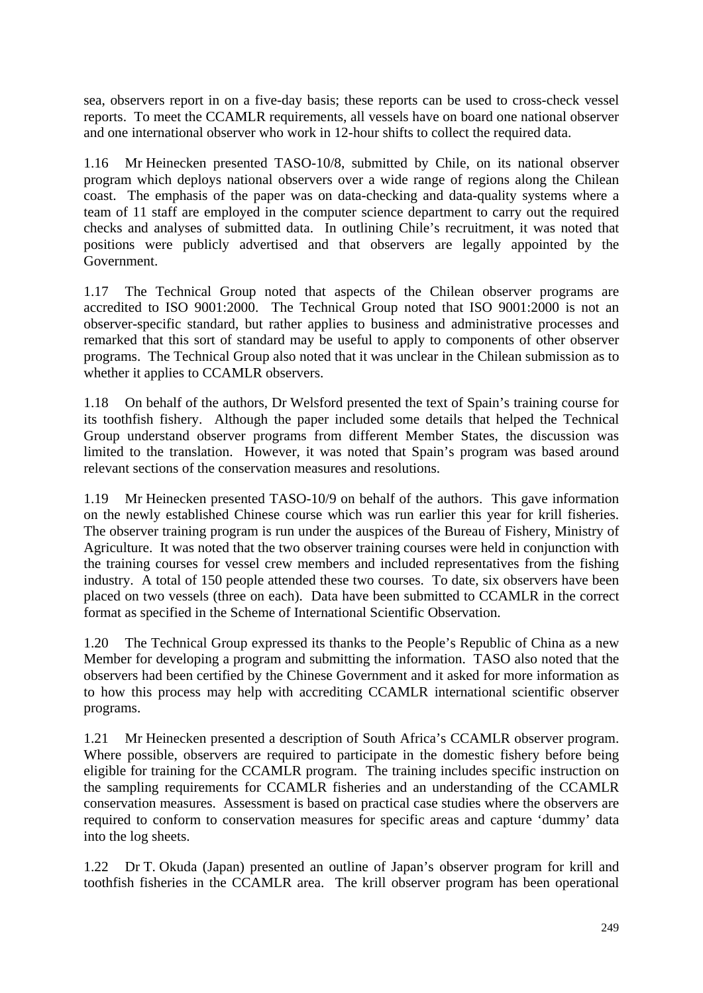sea, observers report in on a five-day basis; these reports can be used to cross-check vessel reports. To meet the CCAMLR requirements, all vessels have on board one national observer and one international observer who work in 12-hour shifts to collect the required data.

1.16 Mr Heinecken presented TASO-10/8, submitted by Chile, on its national observer program which deploys national observers over a wide range of regions along the Chilean coast. The emphasis of the paper was on data-checking and data-quality systems where a team of 11 staff are employed in the computer science department to carry out the required checks and analyses of submitted data. In outlining Chile's recruitment, it was noted that positions were publicly advertised and that observers are legally appointed by the Government.

1.17 The Technical Group noted that aspects of the Chilean observer programs are accredited to ISO 9001:2000. The Technical Group noted that ISO 9001:2000 is not an observer-specific standard, but rather applies to business and administrative processes and remarked that this sort of standard may be useful to apply to components of other observer programs. The Technical Group also noted that it was unclear in the Chilean submission as to whether it applies to CCAMLR observers.

1.18 On behalf of the authors, Dr Welsford presented the text of Spain's training course for its toothfish fishery. Although the paper included some details that helped the Technical Group understand observer programs from different Member States, the discussion was limited to the translation. However, it was noted that Spain's program was based around relevant sections of the conservation measures and resolutions.

1.19 Mr Heinecken presented TASO-10/9 on behalf of the authors. This gave information on the newly established Chinese course which was run earlier this year for krill fisheries. The observer training program is run under the auspices of the Bureau of Fishery, Ministry of Agriculture. It was noted that the two observer training courses were held in conjunction with the training courses for vessel crew members and included representatives from the fishing industry. A total of 150 people attended these two courses. To date, six observers have been placed on two vessels (three on each). Data have been submitted to CCAMLR in the correct format as specified in the Scheme of International Scientific Observation.

1.20 The Technical Group expressed its thanks to the People's Republic of China as a new Member for developing a program and submitting the information. TASO also noted that the observers had been certified by the Chinese Government and it asked for more information as to how this process may help with accrediting CCAMLR international scientific observer programs.

1.21 Mr Heinecken presented a description of South Africa's CCAMLR observer program. Where possible, observers are required to participate in the domestic fishery before being eligible for training for the CCAMLR program. The training includes specific instruction on the sampling requirements for CCAMLR fisheries and an understanding of the CCAMLR conservation measures. Assessment is based on practical case studies where the observers are required to conform to conservation measures for specific areas and capture 'dummy' data into the log sheets.

1.22 Dr T. Okuda (Japan) presented an outline of Japan's observer program for krill and toothfish fisheries in the CCAMLR area. The krill observer program has been operational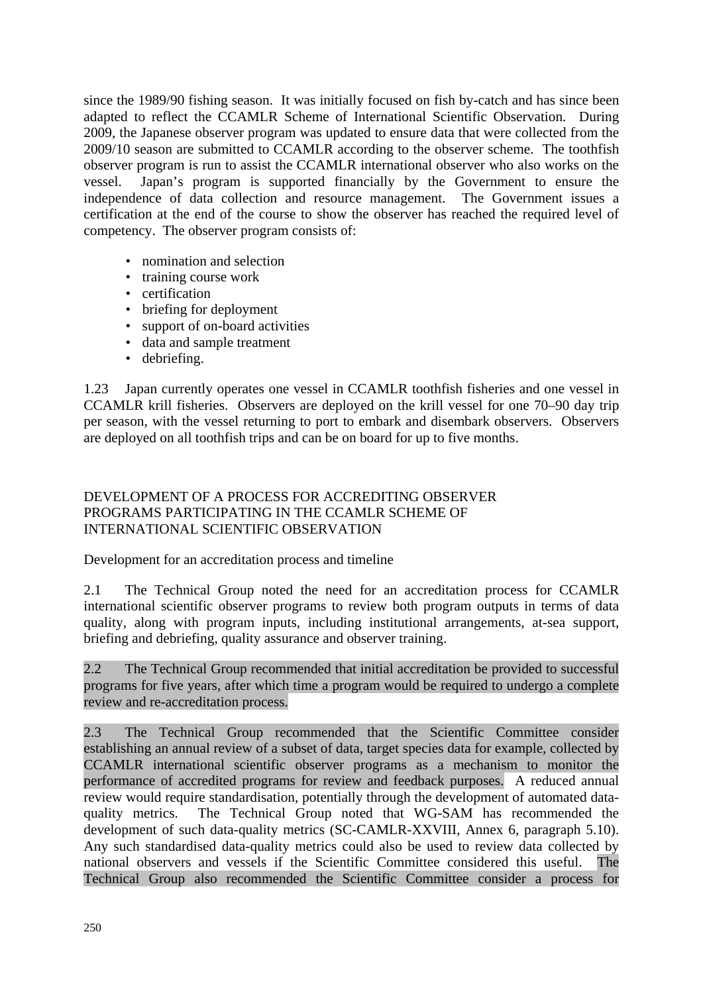<span id="page-5-0"></span>since the 1989/90 fishing season. It was initially focused on fish by-catch and has since been adapted to reflect the CCAMLR Scheme of International Scientific Observation. During 2009, the Japanese observer program was updated to ensure data that were collected from the 2009/10 season are submitted to CCAMLR according to the observer scheme. The toothfish observer program is run to assist the CCAMLR international observer who also works on the vessel. Japan's program is supported financially by the Government to ensure the independence of data collection and resource management. The Government issues a certification at the end of the course to show the observer has reached the required level of competency. The observer program consists of:

- nomination and selection
- training course work
- certification
- briefing for deployment
- support of on-board activities
- data and sample treatment
- debriefing.

1.23 Japan currently operates one vessel in CCAMLR toothfish fisheries and one vessel in CCAMLR krill fisheries. Observers are deployed on the krill vessel for one 70–90 day trip per season, with the vessel returning to port to embark and disembark observers. Observers are deployed on all toothfish trips and can be on board for up to five months.

## DEVELOPMENT OF A PROCESS FOR ACCREDITING OBSERVER PROGRAMS PARTICIPATING IN THE CCAMLR SCHEME OF INTERNATIONAL SCIENTIFIC OBSERVATION

Development for an accreditation process and timeline

2.1 The Technical Group noted the need for an accreditation process for CCAMLR international scientific observer programs to review both program outputs in terms of data quality, along with program inputs, including institutional arrangements, at-sea support, briefing and debriefing, quality assurance and observer training.

2.2 The Technical Group recommended that initial accreditation be provided to successful programs for five years, after which time a program would be required to undergo a complete review and re-accreditation process.

2.3 The Technical Group recommended that the Scientific Committee consider establishing an annual review of a subset of data, target species data for example, collected by CCAMLR international scientific observer programs as a mechanism to monitor the performance of accredited programs for review and feedback purposes. A reduced annual review would require standardisation, potentially through the development of automated dataquality metrics. The Technical Group noted that WG-SAM has recommended the development of such data-quality metrics (SC-CAMLR-XXVIII, Annex 6, paragraph 5.10). Any such standardised data-quality metrics could also be used to review data collected by national observers and vessels if the Scientific Committee considered this useful. The Technical Group also recommended the Scientific Committee consider a process for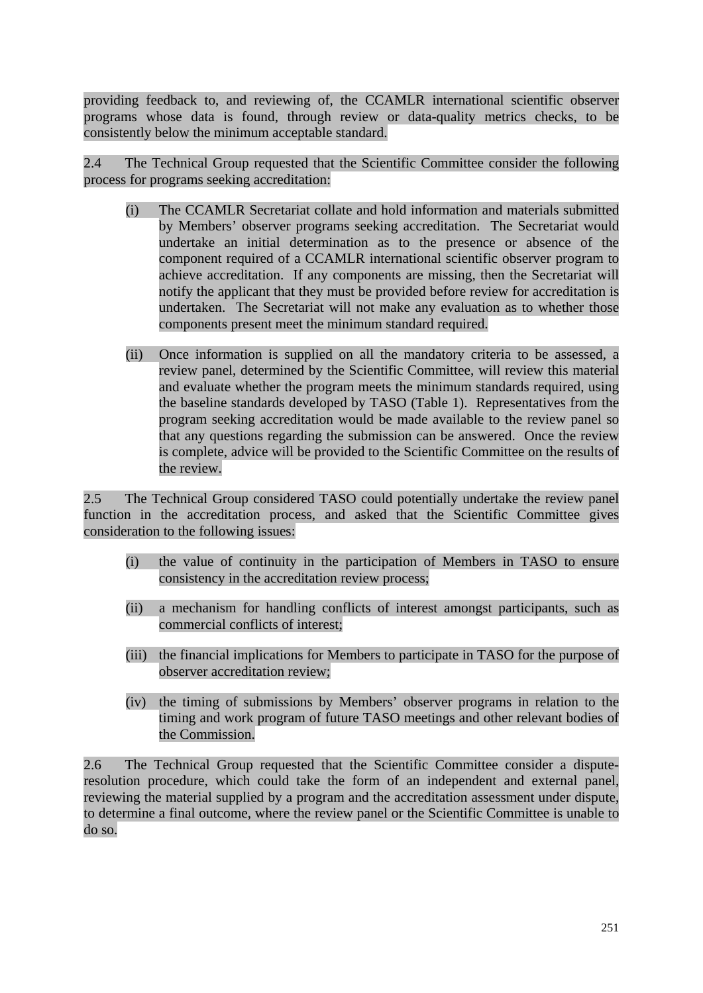providing feedback to, and reviewing of, the CCAMLR international scientific observer programs whose data is found, through review or data-quality metrics checks, to be consistently below the minimum acceptable standard.

2.4 The Technical Group requested that the Scientific Committee consider the following process for programs seeking accreditation:

- (i) The CCAMLR Secretariat collate and hold information and materials submitted by Members' observer programs seeking accreditation. The Secretariat would undertake an initial determination as to the presence or absence of the component required of a CCAMLR international scientific observer program to achieve accreditation. If any components are missing, then the Secretariat will notify the applicant that they must be provided before review for accreditation is undertaken. The Secretariat will not make any evaluation as to whether those components present meet the minimum standard required.
- (ii) Once information is supplied on all the mandatory criteria to be assessed, a review panel, determined by the Scientific Committee, will review this material and evaluate whether the program meets the minimum standards required, using the baseline standards developed by TASO (Table 1). Representatives from the program seeking accreditation would be made available to the review panel so that any questions regarding the submission can be answered. Once the review is complete, advice will be provided to the Scientific Committee on the results of the review.

2.5 The Technical Group considered TASO could potentially undertake the review panel function in the accreditation process, and asked that the Scientific Committee gives consideration to the following issues:

- (i) the value of continuity in the participation of Members in TASO to ensure consistency in the accreditation review process;
- (ii) a mechanism for handling conflicts of interest amongst participants, such as commercial conflicts of interest;
- (iii) the financial implications for Members to participate in TASO for the purpose of observer accreditation review;
- (iv) the timing of submissions by Members' observer programs in relation to the timing and work program of future TASO meetings and other relevant bodies of the Commission.

2.6 The Technical Group requested that the Scientific Committee consider a disputeresolution procedure, which could take the form of an independent and external panel, reviewing the material supplied by a program and the accreditation assessment under dispute, to determine a final outcome, where the review panel or the Scientific Committee is unable to do so.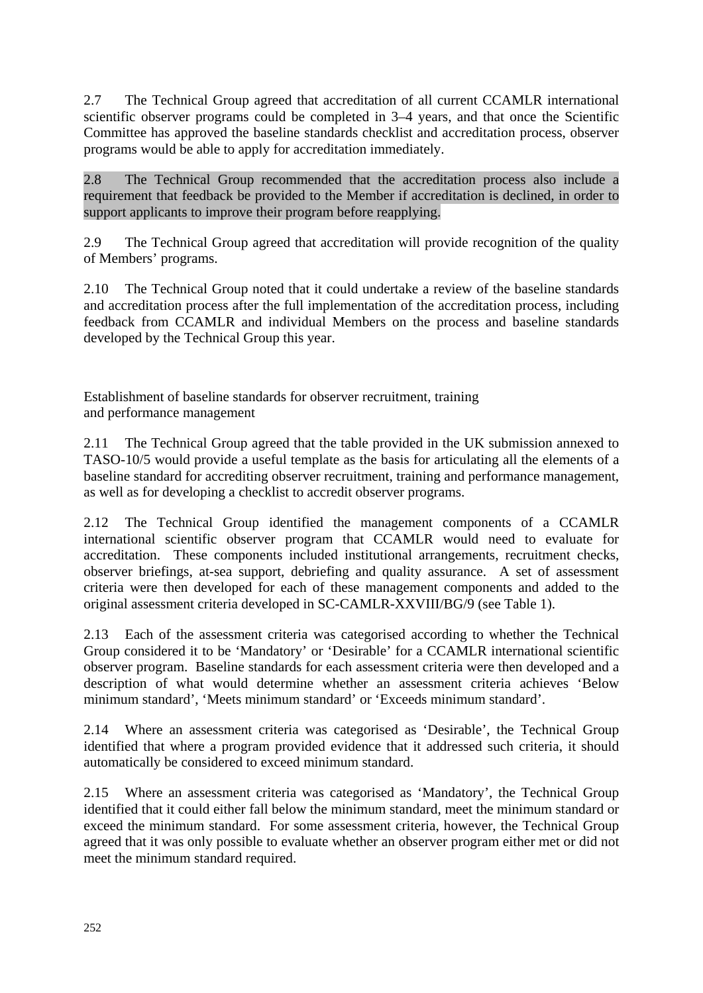2.7 The Technical Group agreed that accreditation of all current CCAMLR international scientific observer programs could be completed in 3–4 years, and that once the Scientific Committee has approved the baseline standards checklist and accreditation process, observer programs would be able to apply for accreditation immediately.

2.8 The Technical Group recommended that the accreditation process also include a requirement that feedback be provided to the Member if accreditation is declined, in order to support applicants to improve their program before reapplying.

2.9 The Technical Group agreed that accreditation will provide recognition of the quality of Members' programs.

2.10 The Technical Group noted that it could undertake a review of the baseline standards and accreditation process after the full implementation of the accreditation process, including feedback from CCAMLR and individual Members on the process and baseline standards developed by the Technical Group this year.

Establishment of baseline standards for observer recruitment, training and performance management

2.11 The Technical Group agreed that the table provided in the UK submission annexed to TASO-10/5 would provide a useful template as the basis for articulating all the elements of a baseline standard for accrediting observer recruitment, training and performance management, as well as for developing a checklist to accredit observer programs.

2.12 The Technical Group identified the management components of a CCAMLR international scientific observer program that CCAMLR would need to evaluate for accreditation. These components included institutional arrangements, recruitment checks, observer briefings, at-sea support, debriefing and quality assurance. A set of assessment criteria were then developed for each of these management components and added to the original assessment criteria developed in SC-CAMLR-XXVIII/BG/9 (see Table 1).

2.13 Each of the assessment criteria was categorised according to whether the Technical Group considered it to be 'Mandatory' or 'Desirable' for a CCAMLR international scientific observer program. Baseline standards for each assessment criteria were then developed and a description of what would determine whether an assessment criteria achieves 'Below minimum standard', 'Meets minimum standard' or 'Exceeds minimum standard'.

2.14 Where an assessment criteria was categorised as 'Desirable', the Technical Group identified that where a program provided evidence that it addressed such criteria, it should automatically be considered to exceed minimum standard.

2.15 Where an assessment criteria was categorised as 'Mandatory', the Technical Group identified that it could either fall below the minimum standard, meet the minimum standard or exceed the minimum standard. For some assessment criteria, however, the Technical Group agreed that it was only possible to evaluate whether an observer program either met or did not meet the minimum standard required.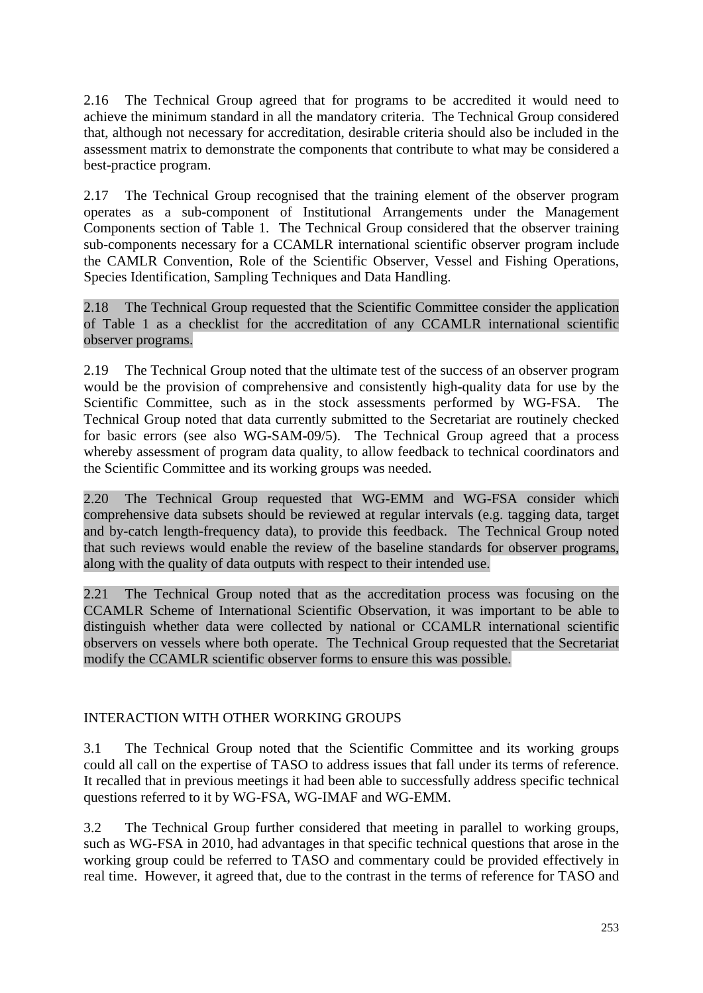<span id="page-8-0"></span>2.16 The Technical Group agreed that for programs to be accredited it would need to achieve the minimum standard in all the mandatory criteria. The Technical Group considered that, although not necessary for accreditation, desirable criteria should also be included in the assessment matrix to demonstrate the components that contribute to what may be considered a best-practice program.

2.17 The Technical Group recognised that the training element of the observer program operates as a sub-component of Institutional Arrangements under the Management Components section of Table 1. The Technical Group considered that the observer training sub-components necessary for a CCAMLR international scientific observer program include the CAMLR Convention, Role of the Scientific Observer, Vessel and Fishing Operations, Species Identification, Sampling Techniques and Data Handling.

2.18 The Technical Group requested that the Scientific Committee consider the application of Table 1 as a checklist for the accreditation of any CCAMLR international scientific observer programs.

2.19 The Technical Group noted that the ultimate test of the success of an observer program would be the provision of comprehensive and consistently high-quality data for use by the Scientific Committee, such as in the stock assessments performed by WG-FSA. The Technical Group noted that data currently submitted to the Secretariat are routinely checked for basic errors (see also WG-SAM-09/5). The Technical Group agreed that a process whereby assessment of program data quality, to allow feedback to technical coordinators and the Scientific Committee and its working groups was needed.

2.20 The Technical Group requested that WG-EMM and WG-FSA consider which comprehensive data subsets should be reviewed at regular intervals (e.g. tagging data, target and by-catch length-frequency data), to provide this feedback. The Technical Group noted that such reviews would enable the review of the baseline standards for observer programs, along with the quality of data outputs with respect to their intended use.

2.21 The Technical Group noted that as the accreditation process was focusing on the CCAMLR Scheme of International Scientific Observation, it was important to be able to distinguish whether data were collected by national or CCAMLR international scientific observers on vessels where both operate. The Technical Group requested that the Secretariat modify the CCAMLR scientific observer forms to ensure this was possible.

## INTERACTION WITH OTHER WORKING GROUPS

3.1 The Technical Group noted that the Scientific Committee and its working groups could all call on the expertise of TASO to address issues that fall under its terms of reference. It recalled that in previous meetings it had been able to successfully address specific technical questions referred to it by WG-FSA, WG-IMAF and WG-EMM.

3.2 The Technical Group further considered that meeting in parallel to working groups, such as WG-FSA in 2010, had advantages in that specific technical questions that arose in the working group could be referred to TASO and commentary could be provided effectively in real time. However, it agreed that, due to the contrast in the terms of reference for TASO and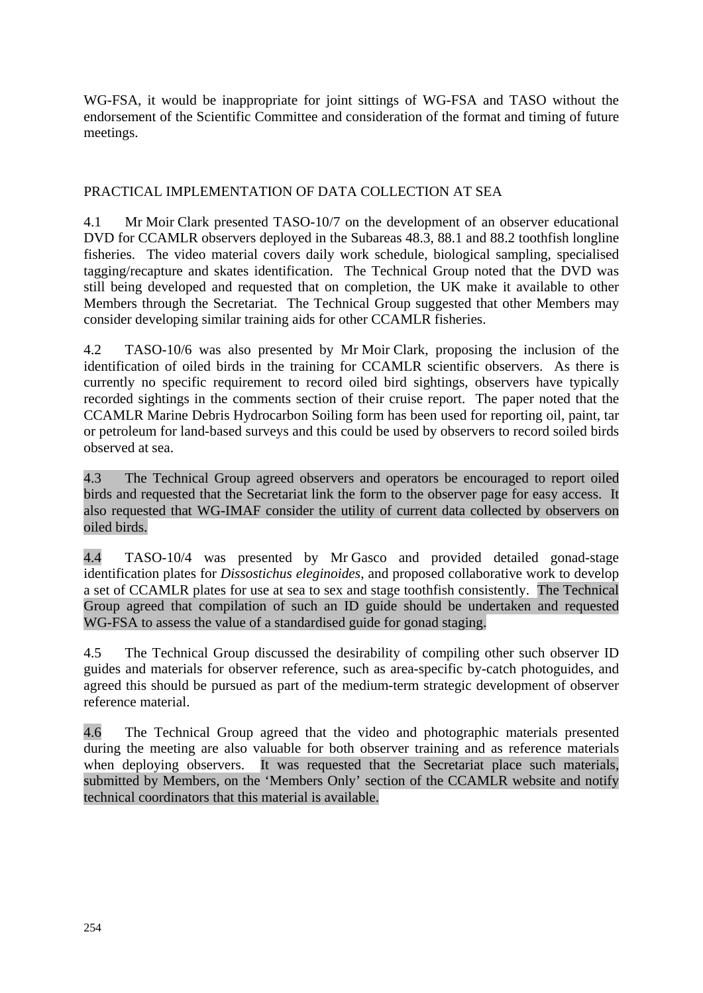<span id="page-9-0"></span>WG-FSA, it would be inappropriate for joint sittings of WG-FSA and TASO without the endorsement of the Scientific Committee and consideration of the format and timing of future meetings.

## PRACTICAL IMPLEMENTATION OF DATA COLLECTION AT SEA

4.1 Mr Moir Clark presented TASO-10/7 on the development of an observer educational DVD for CCAMLR observers deployed in the Subareas 48.3, 88.1 and 88.2 toothfish longline fisheries. The video material covers daily work schedule, biological sampling, specialised tagging/recapture and skates identification. The Technical Group noted that the DVD was still being developed and requested that on completion, the UK make it available to other Members through the Secretariat. The Technical Group suggested that other Members may consider developing similar training aids for other CCAMLR fisheries.

4.2 TASO-10/6 was also presented by Mr Moir Clark, proposing the inclusion of the identification of oiled birds in the training for CCAMLR scientific observers. As there is currently no specific requirement to record oiled bird sightings, observers have typically recorded sightings in the comments section of their cruise report. The paper noted that the CCAMLR Marine Debris Hydrocarbon Soiling form has been used for reporting oil, paint, tar or petroleum for land-based surveys and this could be used by observers to record soiled birds observed at sea.

4.3 The Technical Group agreed observers and operators be encouraged to report oiled birds and requested that the Secretariat link the form to the observer page for easy access. It also requested that WG-IMAF consider the utility of current data collected by observers on oiled birds.

4.4 TASO-10/4 was presented by Mr Gasco and provided detailed gonad-stage identification plates for *Dissostichus eleginoides*, and proposed collaborative work to develop a set of CCAMLR plates for use at sea to sex and stage toothfish consistently. The Technical Group agreed that compilation of such an ID guide should be undertaken and requested WG-FSA to assess the value of a standardised guide for gonad staging.

4.5 The Technical Group discussed the desirability of compiling other such observer ID guides and materials for observer reference, such as area-specific by-catch photoguides, and agreed this should be pursued as part of the medium-term strategic development of observer reference material.

4.6 The Technical Group agreed that the video and photographic materials presented during the meeting are also valuable for both observer training and as reference materials when deploying observers. It was requested that the Secretariat place such materials, submitted by Members, on the 'Members Only' section of the CCAMLR website and notify technical coordinators that this material is available.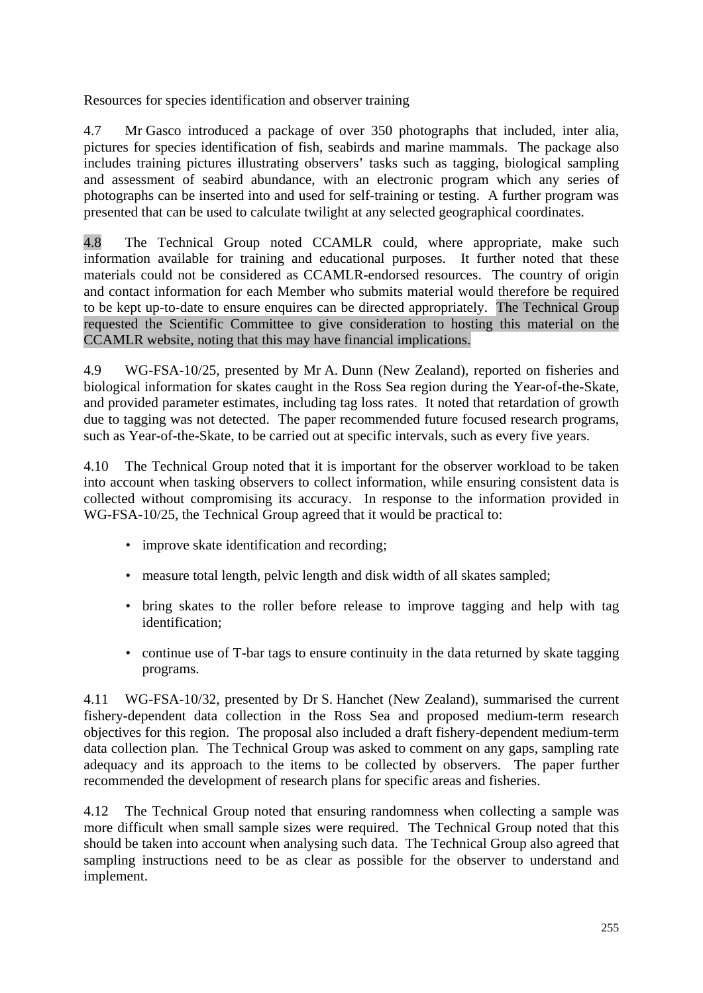Resources for species identification and observer training

4.7 Mr Gasco introduced a package of over 350 photographs that included, inter alia, pictures for species identification of fish, seabirds and marine mammals. The package also includes training pictures illustrating observers' tasks such as tagging, biological sampling and assessment of seabird abundance, with an electronic program which any series of photographs can be inserted into and used for self-training or testing. A further program was presented that can be used to calculate twilight at any selected geographical coordinates.

4.8 The Technical Group noted CCAMLR could, where appropriate, make such information available for training and educational purposes. It further noted that these materials could not be considered as CCAMLR-endorsed resources. The country of origin and contact information for each Member who submits material would therefore be required to be kept up-to-date to ensure enquires can be directed appropriately. The Technical Group requested the Scientific Committee to give consideration to hosting this material on the CCAMLR website, noting that this may have financial implications.

4.9 WG-FSA-10/25, presented by Mr A. Dunn (New Zealand), reported on fisheries and biological information for skates caught in the Ross Sea region during the Year-of-the-Skate, and provided parameter estimates, including tag loss rates. It noted that retardation of growth due to tagging was not detected. The paper recommended future focused research programs, such as Year-of-the-Skate, to be carried out at specific intervals, such as every five years.

4.10 The Technical Group noted that it is important for the observer workload to be taken into account when tasking observers to collect information, while ensuring consistent data is collected without compromising its accuracy. In response to the information provided in WG-FSA-10/25, the Technical Group agreed that it would be practical to:

- improve skate identification and recording;
- measure total length, pelvic length and disk width of all skates sampled;
- bring skates to the roller before release to improve tagging and help with tag identification;
- continue use of T-bar tags to ensure continuity in the data returned by skate tagging programs.

4.11 WG-FSA-10/32, presented by Dr S. Hanchet (New Zealand), summarised the current fishery-dependent data collection in the Ross Sea and proposed medium-term research objectives for this region. The proposal also included a draft fishery-dependent medium-term data collection plan. The Technical Group was asked to comment on any gaps, sampling rate adequacy and its approach to the items to be collected by observers. The paper further recommended the development of research plans for specific areas and fisheries.

4.12 The Technical Group noted that ensuring randomness when collecting a sample was more difficult when small sample sizes were required. The Technical Group noted that this should be taken into account when analysing such data. The Technical Group also agreed that sampling instructions need to be as clear as possible for the observer to understand and implement.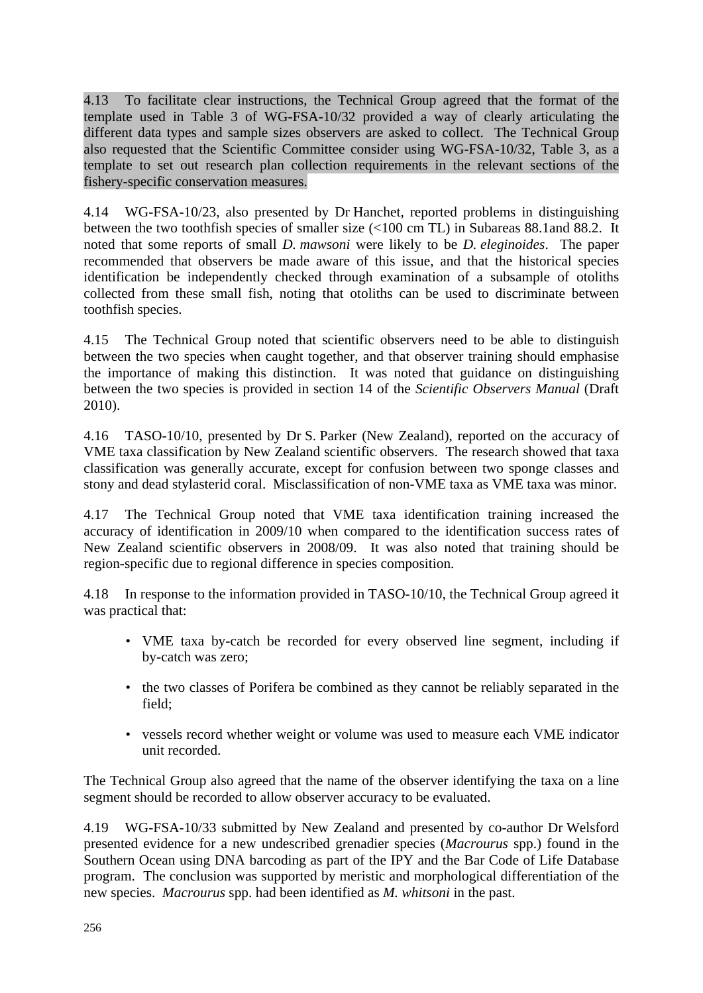4.13 To facilitate clear instructions, the Technical Group agreed that the format of the template used in Table 3 of WG-FSA-10/32 provided a way of clearly articulating the different data types and sample sizes observers are asked to collect. The Technical Group also requested that the Scientific Committee consider using WG-FSA-10/32, Table 3, as a template to set out research plan collection requirements in the relevant sections of the fishery-specific conservation measures.

4.14 WG-FSA-10/23, also presented by Dr Hanchet, reported problems in distinguishing between the two toothfish species of smaller size (<100 cm TL) in Subareas 88.1and 88.2. It noted that some reports of small *D. mawsoni* were likely to be *D. eleginoides*. The paper recommended that observers be made aware of this issue, and that the historical species identification be independently checked through examination of a subsample of otoliths collected from these small fish, noting that otoliths can be used to discriminate between toothfish species.

4.15 The Technical Group noted that scientific observers need to be able to distinguish between the two species when caught together, and that observer training should emphasise the importance of making this distinction. It was noted that guidance on distinguishing between the two species is provided in section 14 of the *Scientific Observers Manual* (Draft 2010).

4.16 TASO-10/10, presented by Dr S. Parker (New Zealand), reported on the accuracy of VME taxa classification by New Zealand scientific observers. The research showed that taxa classification was generally accurate, except for confusion between two sponge classes and stony and dead stylasterid coral. Misclassification of non-VME taxa as VME taxa was minor.

4.17 The Technical Group noted that VME taxa identification training increased the accuracy of identification in 2009/10 when compared to the identification success rates of New Zealand scientific observers in 2008/09. It was also noted that training should be region-specific due to regional difference in species composition.

4.18 In response to the information provided in TASO-10/10, the Technical Group agreed it was practical that:

- VME taxa by-catch be recorded for every observed line segment, including if by-catch was zero;
- the two classes of Porifera be combined as they cannot be reliably separated in the field;
- vessels record whether weight or volume was used to measure each VME indicator unit recorded.

The Technical Group also agreed that the name of the observer identifying the taxa on a line segment should be recorded to allow observer accuracy to be evaluated.

4.19 WG-FSA-10/33 submitted by New Zealand and presented by co-author Dr Welsford presented evidence for a new undescribed grenadier species (*Macrourus* spp.) found in the Southern Ocean using DNA barcoding as part of the IPY and the Bar Code of Life Database program. The conclusion was supported by meristic and morphological differentiation of the new species. *Macrourus* spp. had been identified as *M. whitsoni* in the past.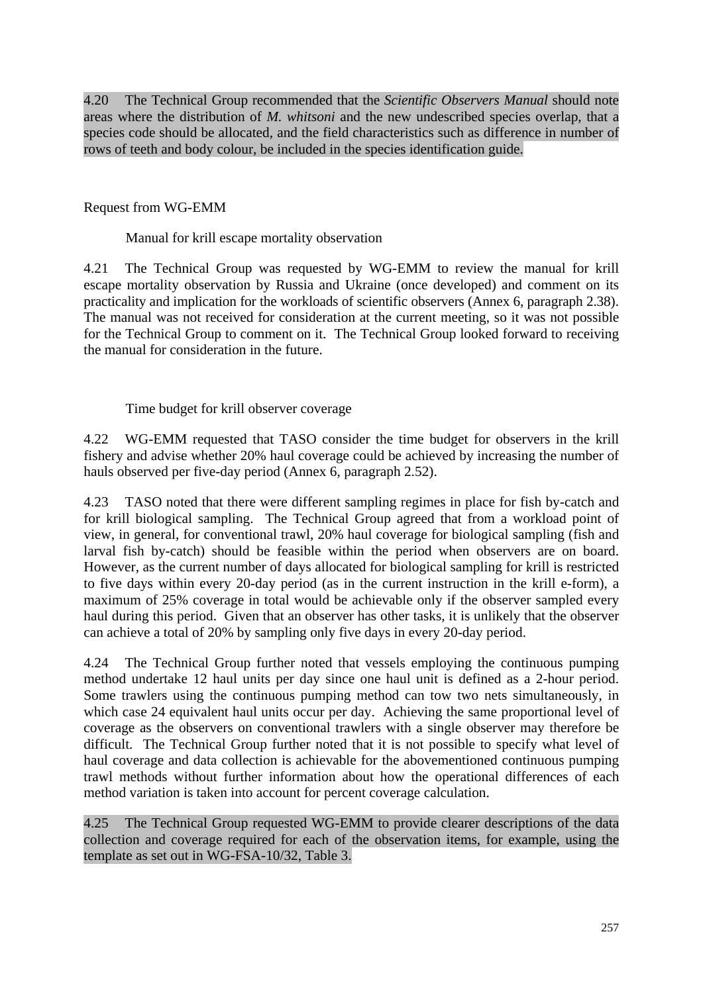4.20 The Technical Group recommended that the *Scientific Observers Manual* should note areas where the distribution of *M. whitsoni* and the new undescribed species overlap, that a species code should be allocated, and the field characteristics such as difference in number of rows of teeth and body colour, be included in the species identification guide.

Request from WG-EMM

Manual for krill escape mortality observation

4.21 The Technical Group was requested by WG-EMM to review the manual for krill escape mortality observation by Russia and Ukraine (once developed) and comment on its practicality and implication for the workloads of scientific observers (Annex 6, paragraph 2.38). The manual was not received for consideration at the current meeting, so it was not possible for the Technical Group to comment on it. The Technical Group looked forward to receiving the manual for consideration in the future.

Time budget for krill observer coverage

4.22 WG-EMM requested that TASO consider the time budget for observers in the krill fishery and advise whether 20% haul coverage could be achieved by increasing the number of hauls observed per five-day period (Annex 6, paragraph 2.52).

4.23 TASO noted that there were different sampling regimes in place for fish by-catch and for krill biological sampling. The Technical Group agreed that from a workload point of view, in general, for conventional trawl, 20% haul coverage for biological sampling (fish and larval fish by-catch) should be feasible within the period when observers are on board. However, as the current number of days allocated for biological sampling for krill is restricted to five days within every 20-day period (as in the current instruction in the krill e-form), a maximum of 25% coverage in total would be achievable only if the observer sampled every haul during this period. Given that an observer has other tasks, it is unlikely that the observer can achieve a total of 20% by sampling only five days in every 20-day period.

4.24 The Technical Group further noted that vessels employing the continuous pumping method undertake 12 haul units per day since one haul unit is defined as a 2-hour period. Some trawlers using the continuous pumping method can tow two nets simultaneously, in which case 24 equivalent haul units occur per day. Achieving the same proportional level of coverage as the observers on conventional trawlers with a single observer may therefore be difficult. The Technical Group further noted that it is not possible to specify what level of haul coverage and data collection is achievable for the abovementioned continuous pumping trawl methods without further information about how the operational differences of each method variation is taken into account for percent coverage calculation.

4.25 The Technical Group requested WG-EMM to provide clearer descriptions of the data collection and coverage required for each of the observation items, for example, using the template as set out in WG-FSA-10/32, Table 3.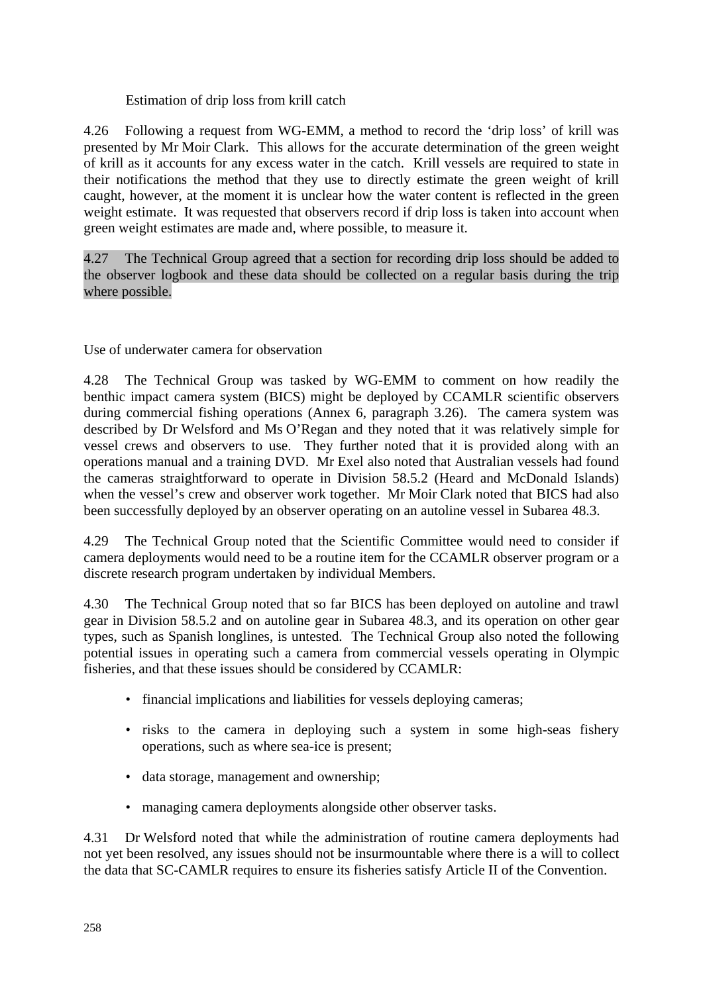## Estimation of drip loss from krill catch

4.26 Following a request from WG-EMM, a method to record the 'drip loss' of krill was presented by Mr Moir Clark. This allows for the accurate determination of the green weight of krill as it accounts for any excess water in the catch. Krill vessels are required to state in their notifications the method that they use to directly estimate the green weight of krill caught, however, at the moment it is unclear how the water content is reflected in the green weight estimate. It was requested that observers record if drip loss is taken into account when green weight estimates are made and, where possible, to measure it.

4.27 The Technical Group agreed that a section for recording drip loss should be added to the observer logbook and these data should be collected on a regular basis during the trip where possible.

Use of underwater camera for observation

4.28 The Technical Group was tasked by WG-EMM to comment on how readily the benthic impact camera system (BICS) might be deployed by CCAMLR scientific observers during commercial fishing operations (Annex 6, paragraph 3.26). The camera system was described by Dr Welsford and Ms O'Regan and they noted that it was relatively simple for vessel crews and observers to use. They further noted that it is provided along with an operations manual and a training DVD. Mr Exel also noted that Australian vessels had found the cameras straightforward to operate in Division 58.5.2 (Heard and McDonald Islands) when the vessel's crew and observer work together. Mr Moir Clark noted that BICS had also been successfully deployed by an observer operating on an autoline vessel in Subarea 48.3.

4.29 The Technical Group noted that the Scientific Committee would need to consider if camera deployments would need to be a routine item for the CCAMLR observer program or a discrete research program undertaken by individual Members.

4.30 The Technical Group noted that so far BICS has been deployed on autoline and trawl gear in Division 58.5.2 and on autoline gear in Subarea 48.3, and its operation on other gear types, such as Spanish longlines, is untested. The Technical Group also noted the following potential issues in operating such a camera from commercial vessels operating in Olympic fisheries, and that these issues should be considered by CCAMLR:

- financial implications and liabilities for vessels deploying cameras;
- risks to the camera in deploying such a system in some high-seas fishery operations, such as where sea-ice is present;
- data storage, management and ownership;
- managing camera deployments alongside other observer tasks.

4.31 Dr Welsford noted that while the administration of routine camera deployments had not yet been resolved, any issues should not be insurmountable where there is a will to collect the data that SC-CAMLR requires to ensure its fisheries satisfy Article II of the Convention.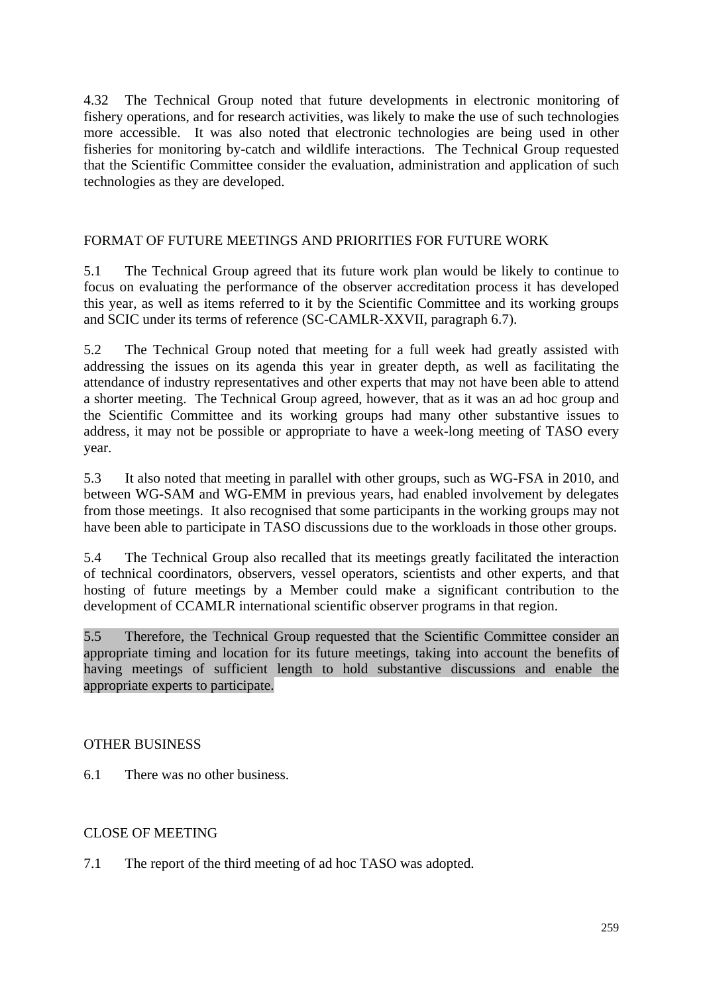<span id="page-14-0"></span>4.32 The Technical Group noted that future developments in electronic monitoring of fishery operations, and for research activities, was likely to make the use of such technologies more accessible. It was also noted that electronic technologies are being used in other fisheries for monitoring by-catch and wildlife interactions. The Technical Group requested that the Scientific Committee consider the evaluation, administration and application of such technologies as they are developed.

### FORMAT OF FUTURE MEETINGS AND PRIORITIES FOR FUTURE WORK

5.1 The Technical Group agreed that its future work plan would be likely to continue to focus on evaluating the performance of the observer accreditation process it has developed this year, as well as items referred to it by the Scientific Committee and its working groups and SCIC under its terms of reference (SC-CAMLR-XXVII, paragraph 6.7).

5.2 The Technical Group noted that meeting for a full week had greatly assisted with addressing the issues on its agenda this year in greater depth, as well as facilitating the attendance of industry representatives and other experts that may not have been able to attend a shorter meeting. The Technical Group agreed, however, that as it was an ad hoc group and the Scientific Committee and its working groups had many other substantive issues to address, it may not be possible or appropriate to have a week-long meeting of TASO every year.

5.3 It also noted that meeting in parallel with other groups, such as WG-FSA in 2010, and between WG-SAM and WG-EMM in previous years, had enabled involvement by delegates from those meetings. It also recognised that some participants in the working groups may not have been able to participate in TASO discussions due to the workloads in those other groups.

5.4 The Technical Group also recalled that its meetings greatly facilitated the interaction of technical coordinators, observers, vessel operators, scientists and other experts, and that hosting of future meetings by a Member could make a significant contribution to the development of CCAMLR international scientific observer programs in that region.

5.5 Therefore, the Technical Group requested that the Scientific Committee consider an appropriate timing and location for its future meetings, taking into account the benefits of having meetings of sufficient length to hold substantive discussions and enable the appropriate experts to participate.

#### OTHER BUSINESS

6.1 There was no other business.

## CLOSE OF MEETING

7.1 The report of the third meeting of ad hoc TASO was adopted.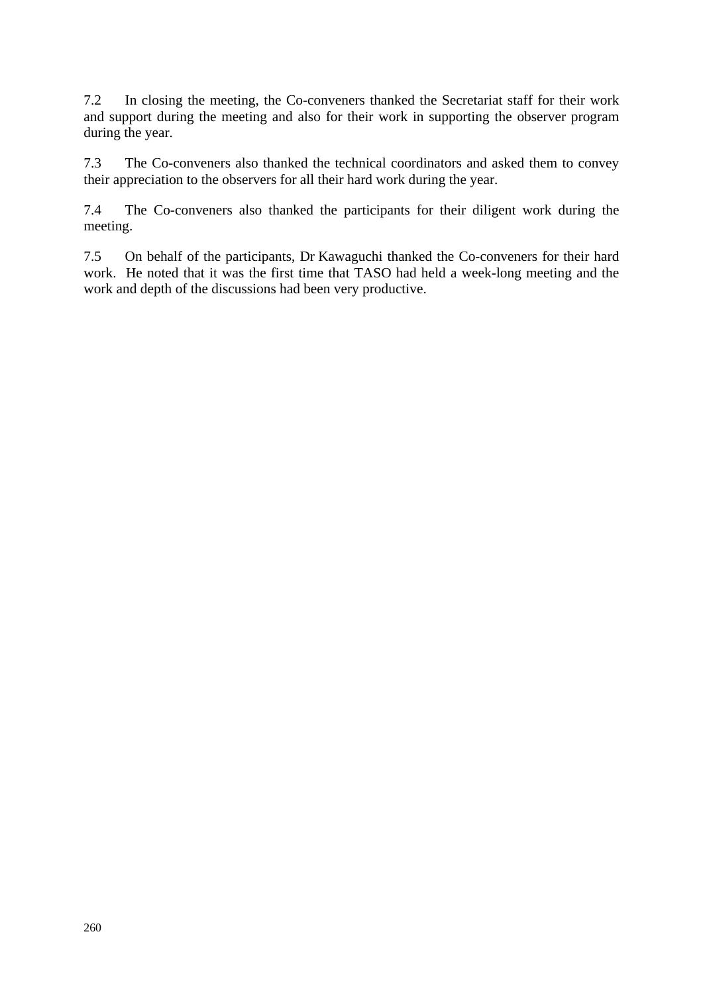7.2 In closing the meeting, the Co-conveners thanked the Secretariat staff for their work and support during the meeting and also for their work in supporting the observer program during the year.

7.3 The Co-conveners also thanked the technical coordinators and asked them to convey their appreciation to the observers for all their hard work during the year.

7.4 The Co-conveners also thanked the participants for their diligent work during the meeting.

7.5 On behalf of the participants, Dr Kawaguchi thanked the Co-conveners for their hard work. He noted that it was the first time that TASO had held a week-long meeting and the work and depth of the discussions had been very productive.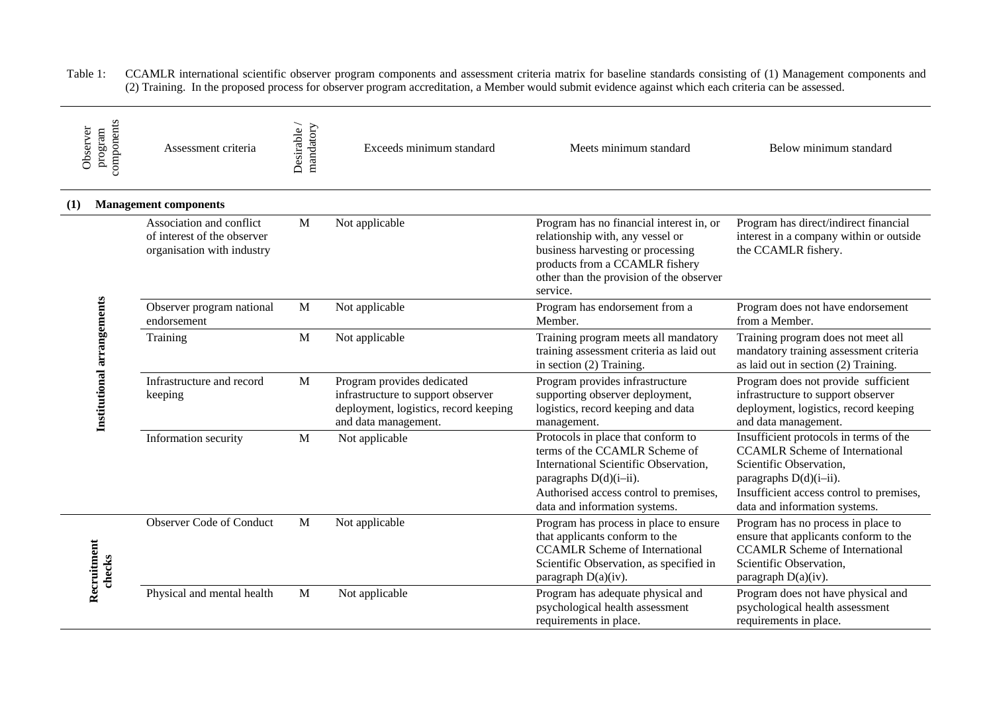<span id="page-16-0"></span>Table 1: CCAMLR international scientific observer program components and assessment criteria matrix for baseline standards consisting of (1) Management components and (2) Training. In the proposed process for observer program accreditation, a Member would submit evidence against which each criteria can be assessed.

| Observer                   | components<br>program | Assessment criteria                                                                   | Desirable/<br>mandatory | Exceeds minimum standard                                                                                                          | Meets minimum standard                                                                                                                                                                                            | Below minimum standard                                                                                                                                                                                            |
|----------------------------|-----------------------|---------------------------------------------------------------------------------------|-------------------------|-----------------------------------------------------------------------------------------------------------------------------------|-------------------------------------------------------------------------------------------------------------------------------------------------------------------------------------------------------------------|-------------------------------------------------------------------------------------------------------------------------------------------------------------------------------------------------------------------|
| (1)                        |                       | <b>Management components</b>                                                          |                         |                                                                                                                                   |                                                                                                                                                                                                                   |                                                                                                                                                                                                                   |
|                            |                       | Association and conflict<br>of interest of the observer<br>organisation with industry | M                       | Not applicable                                                                                                                    | Program has no financial interest in, or<br>relationship with, any vessel or<br>business harvesting or processing<br>products from a CCAMLR fishery<br>other than the provision of the observer<br>service.       | Program has direct/indirect financial<br>interest in a company within or outside<br>the CCAMLR fishery.                                                                                                           |
|                            |                       | Observer program national<br>endorsement                                              | $\mathbf M$             | Not applicable                                                                                                                    | Program has endorsement from a<br>Member.                                                                                                                                                                         | Program does not have endorsement<br>from a Member.                                                                                                                                                               |
| Institutional arrangements |                       | Training                                                                              | $\mathbf{M}$            | Not applicable                                                                                                                    | Training program meets all mandatory<br>training assessment criteria as laid out<br>in section (2) Training.                                                                                                      | Training program does not meet all<br>mandatory training assessment criteria<br>as laid out in section (2) Training.                                                                                              |
|                            |                       | Infrastructure and record<br>keeping                                                  | $\mathbf{M}$            | Program provides dedicated<br>infrastructure to support observer<br>deployment, logistics, record keeping<br>and data management. | Program provides infrastructure<br>supporting observer deployment,<br>logistics, record keeping and data<br>management.                                                                                           | Program does not provide sufficient<br>infrastructure to support observer<br>deployment, logistics, record keeping<br>and data management.                                                                        |
|                            |                       | Information security                                                                  | $\mathbf M$             | Not applicable                                                                                                                    | Protocols in place that conform to<br>terms of the CCAMLR Scheme of<br>International Scientific Observation,<br>paragraphs D(d)(i-ii).<br>Authorised access control to premises,<br>data and information systems. | Insufficient protocols in terms of the<br><b>CCAMLR Scheme of International</b><br>Scientific Observation,<br>paragraphs D(d)(i-ii).<br>Insufficient access control to premises,<br>data and information systems. |
| Recruitment                | checks                | Observer Code of Conduct                                                              | $\mathbf{M}$            | Not applicable                                                                                                                    | Program has process in place to ensure<br>that applicants conform to the<br><b>CCAMLR Scheme of International</b><br>Scientific Observation, as specified in<br>paragraph D(a)(iv).                               | Program has no process in place to<br>ensure that applicants conform to the<br><b>CCAMLR Scheme of International</b><br>Scientific Observation,<br>paragraph $D(a)(iv)$ .                                         |
|                            |                       | Physical and mental health                                                            | $\mathbf M$             | Not applicable                                                                                                                    | Program has adequate physical and<br>psychological health assessment<br>requirements in place.                                                                                                                    | Program does not have physical and<br>psychological health assessment<br>requirements in place.                                                                                                                   |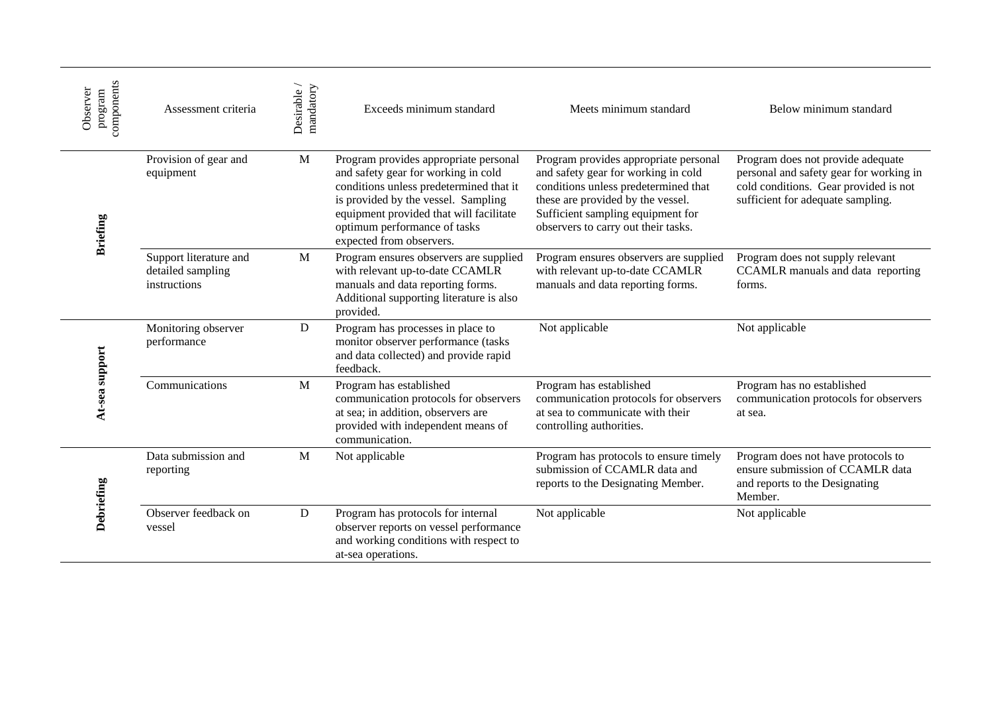| components<br>Observer<br>program | Assessment criteria                                         | Desirable/<br>mandatory | Exceeds minimum standard                                                                                                                                                                                                                                              | Meets minimum standard                                                                                                                                                                                                                | Below minimum standard                                                                                                                                     |
|-----------------------------------|-------------------------------------------------------------|-------------------------|-----------------------------------------------------------------------------------------------------------------------------------------------------------------------------------------------------------------------------------------------------------------------|---------------------------------------------------------------------------------------------------------------------------------------------------------------------------------------------------------------------------------------|------------------------------------------------------------------------------------------------------------------------------------------------------------|
| <b>Briefing</b>                   | Provision of gear and<br>equipment                          | M                       | Program provides appropriate personal<br>and safety gear for working in cold<br>conditions unless predetermined that it<br>is provided by the vessel. Sampling<br>equipment provided that will facilitate<br>optimum performance of tasks<br>expected from observers. | Program provides appropriate personal<br>and safety gear for working in cold<br>conditions unless predetermined that<br>these are provided by the vessel.<br>Sufficient sampling equipment for<br>observers to carry out their tasks. | Program does not provide adequate<br>personal and safety gear for working in<br>cold conditions. Gear provided is not<br>sufficient for adequate sampling. |
|                                   | Support literature and<br>detailed sampling<br>instructions | M                       | Program ensures observers are supplied<br>with relevant up-to-date CCAMLR<br>manuals and data reporting forms.<br>Additional supporting literature is also<br>provided.                                                                                               | Program ensures observers are supplied<br>with relevant up-to-date CCAMLR<br>manuals and data reporting forms.                                                                                                                        | Program does not supply relevant<br>CCAMLR manuals and data reporting<br>forms.                                                                            |
| At-sea support                    | Monitoring observer<br>performance                          | D                       | Program has processes in place to<br>monitor observer performance (tasks<br>and data collected) and provide rapid<br>feedback.                                                                                                                                        | Not applicable                                                                                                                                                                                                                        | Not applicable                                                                                                                                             |
|                                   | Communications                                              | M                       | Program has established<br>communication protocols for observers<br>at sea; in addition, observers are<br>provided with independent means of<br>communication.                                                                                                        | Program has established<br>communication protocols for observers<br>at sea to communicate with their<br>controlling authorities.                                                                                                      | Program has no established<br>communication protocols for observers<br>at sea.                                                                             |
|                                   | Data submission and<br>reporting                            | M                       | Not applicable                                                                                                                                                                                                                                                        | Program has protocols to ensure timely<br>submission of CCAMLR data and<br>reports to the Designating Member.                                                                                                                         | Program does not have protocols to<br>ensure submission of CCAMLR data<br>and reports to the Designating<br>Member.                                        |
| Debriefing                        | Observer feedback on<br>vessel                              | D                       | Program has protocols for internal<br>observer reports on vessel performance<br>and working conditions with respect to<br>at-sea operations.                                                                                                                          | Not applicable                                                                                                                                                                                                                        | Not applicable                                                                                                                                             |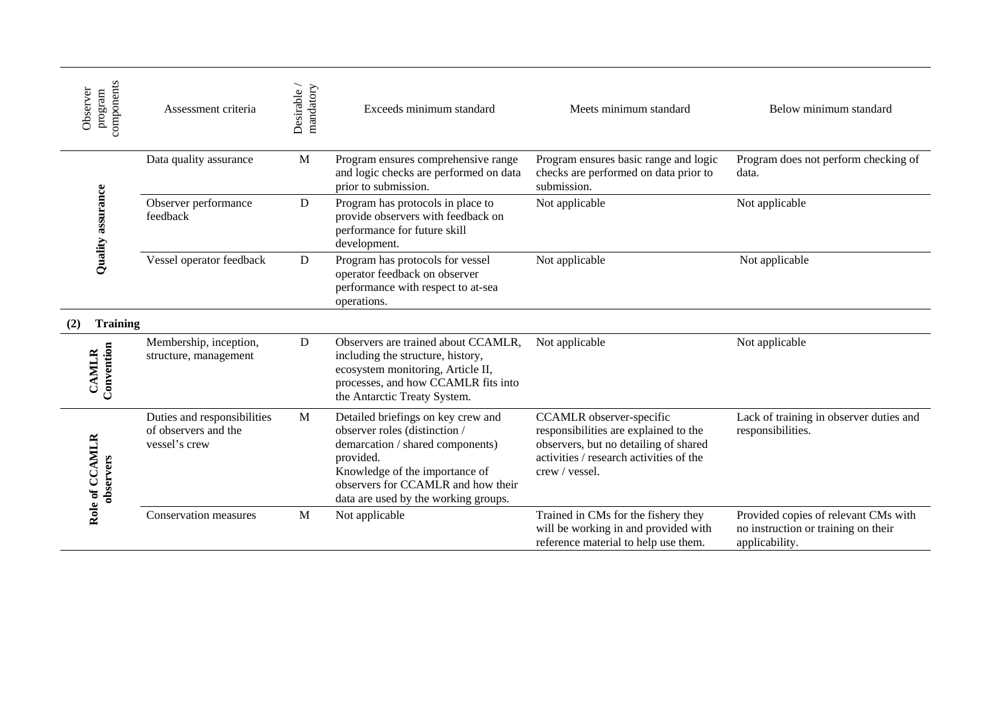| components<br>Observer<br>program | Assessment criteria                                                  | Desirable /<br>mandatory | Exceeds minimum standard                                                                                                                                                                                                             | Meets minimum standard                                                                                                                                                  | Below minimum standard                                                                        |
|-----------------------------------|----------------------------------------------------------------------|--------------------------|--------------------------------------------------------------------------------------------------------------------------------------------------------------------------------------------------------------------------------------|-------------------------------------------------------------------------------------------------------------------------------------------------------------------------|-----------------------------------------------------------------------------------------------|
|                                   | Data quality assurance                                               | M                        | Program ensures comprehensive range<br>and logic checks are performed on data<br>prior to submission.                                                                                                                                | Program ensures basic range and logic<br>checks are performed on data prior to<br>submission.                                                                           | Program does not perform checking of<br>data.                                                 |
| Quality assurance                 | Observer performance<br>feedback                                     | D                        | Program has protocols in place to<br>provide observers with feedback on<br>performance for future skill<br>development.                                                                                                              | Not applicable                                                                                                                                                          | Not applicable                                                                                |
|                                   | Vessel operator feedback                                             | D                        | Program has protocols for vessel<br>operator feedback on observer<br>performance with respect to at-sea<br>operations.                                                                                                               | Not applicable                                                                                                                                                          | Not applicable                                                                                |
| <b>Training</b><br>(2)            |                                                                      |                          |                                                                                                                                                                                                                                      |                                                                                                                                                                         |                                                                                               |
| Convention<br><b>CAMLR</b>        | Membership, inception,<br>structure, management                      | D                        | Observers are trained about CCAMLR,<br>including the structure, history,<br>ecosystem monitoring, Article II,<br>processes, and how CCAMLR fits into<br>the Antarctic Treaty System.                                                 | Not applicable                                                                                                                                                          | Not applicable                                                                                |
| Role of CCAMLR<br>observers       | Duties and responsibilities<br>of observers and the<br>vessel's crew | M                        | Detailed briefings on key crew and<br>observer roles (distinction /<br>demarcation / shared components)<br>provided.<br>Knowledge of the importance of<br>observers for CCAMLR and how their<br>data are used by the working groups. | CCAMLR observer-specific<br>responsibilities are explained to the<br>observers, but no detailing of shared<br>activities / research activities of the<br>crew / vessel. | Lack of training in observer duties and<br>responsibilities.                                  |
|                                   | Conservation measures                                                | M                        | Not applicable                                                                                                                                                                                                                       | Trained in CMs for the fishery they<br>will be working in and provided with<br>reference material to help use them.                                                     | Provided copies of relevant CMs with<br>no instruction or training on their<br>applicability. |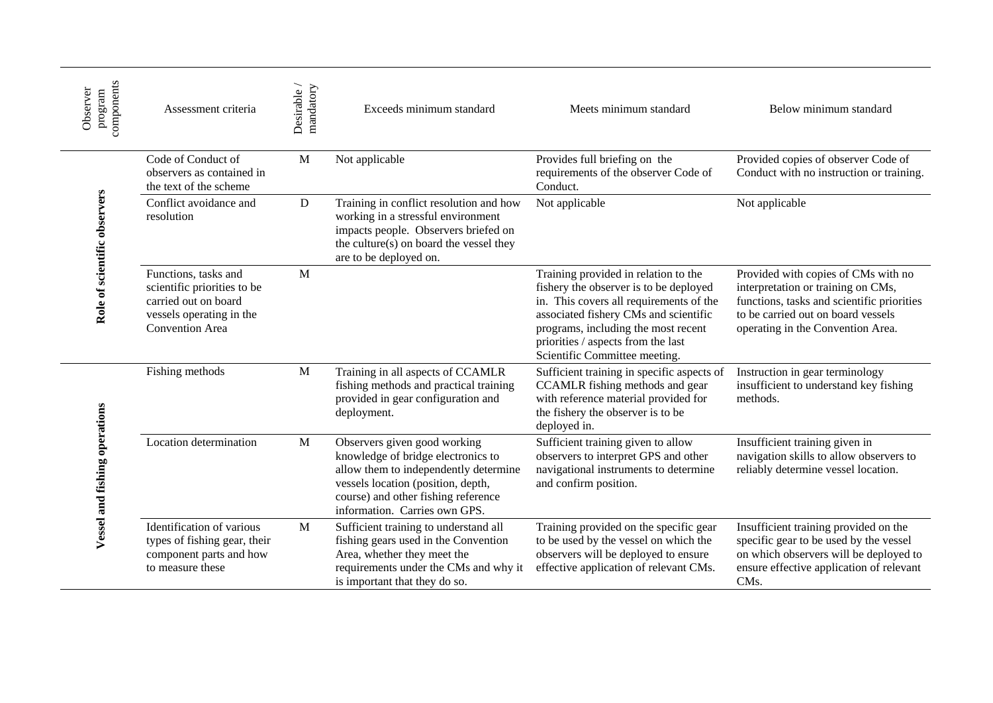| components<br>Observer<br>program | Assessment criteria                                                                                                        | mandatory<br>Desirable | Exceeds minimum standard                                                                                                                                                                                                  | Meets minimum standard                                                                                                                                                                                                                                                           | Below minimum standard                                                                                                                                                                             |
|-----------------------------------|----------------------------------------------------------------------------------------------------------------------------|------------------------|---------------------------------------------------------------------------------------------------------------------------------------------------------------------------------------------------------------------------|----------------------------------------------------------------------------------------------------------------------------------------------------------------------------------------------------------------------------------------------------------------------------------|----------------------------------------------------------------------------------------------------------------------------------------------------------------------------------------------------|
|                                   | Code of Conduct of<br>observers as contained in<br>the text of the scheme                                                  | M                      | Not applicable                                                                                                                                                                                                            | Provides full briefing on the<br>requirements of the observer Code of<br>Conduct.                                                                                                                                                                                                | Provided copies of observer Code of<br>Conduct with no instruction or training.                                                                                                                    |
| Role of scientific observers      | Conflict avoidance and<br>resolution                                                                                       | D                      | Training in conflict resolution and how<br>working in a stressful environment<br>impacts people. Observers briefed on<br>the culture(s) on board the vessel they<br>are to be deployed on.                                | Not applicable                                                                                                                                                                                                                                                                   | Not applicable                                                                                                                                                                                     |
|                                   | Functions, tasks and<br>scientific priorities to be<br>carried out on board<br>vessels operating in the<br>Convention Area | M                      |                                                                                                                                                                                                                           | Training provided in relation to the<br>fishery the observer is to be deployed<br>in. This covers all requirements of the<br>associated fishery CMs and scientific<br>programs, including the most recent<br>priorities / aspects from the last<br>Scientific Committee meeting. | Provided with copies of CMs with no<br>interpretation or training on CMs,<br>functions, tasks and scientific priorities<br>to be carried out on board vessels<br>operating in the Convention Area. |
|                                   | Fishing methods                                                                                                            | M                      | Training in all aspects of CCAMLR<br>fishing methods and practical training<br>provided in gear configuration and<br>deployment.                                                                                          | Sufficient training in specific aspects of<br>CCAMLR fishing methods and gear<br>with reference material provided for<br>the fishery the observer is to be<br>deployed in.                                                                                                       | Instruction in gear terminology<br>insufficient to understand key fishing<br>methods.                                                                                                              |
| Vessel and fishing operations     | Location determination                                                                                                     | M                      | Observers given good working<br>knowledge of bridge electronics to<br>allow them to independently determine<br>vessels location (position, depth,<br>course) and other fishing reference<br>information. Carries own GPS. | Sufficient training given to allow<br>observers to interpret GPS and other<br>navigational instruments to determine<br>and confirm position.                                                                                                                                     | Insufficient training given in<br>navigation skills to allow observers to<br>reliably determine vessel location.                                                                                   |
|                                   | Identification of various<br>types of fishing gear, their<br>component parts and how<br>to measure these                   | M                      | Sufficient training to understand all<br>fishing gears used in the Convention<br>Area, whether they meet the<br>requirements under the CMs and why it<br>is important that they do so.                                    | Training provided on the specific gear<br>to be used by the vessel on which the<br>observers will be deployed to ensure<br>effective application of relevant CMs.                                                                                                                | Insufficient training provided on the<br>specific gear to be used by the vessel<br>on which observers will be deployed to<br>ensure effective application of relevant<br>CMs.                      |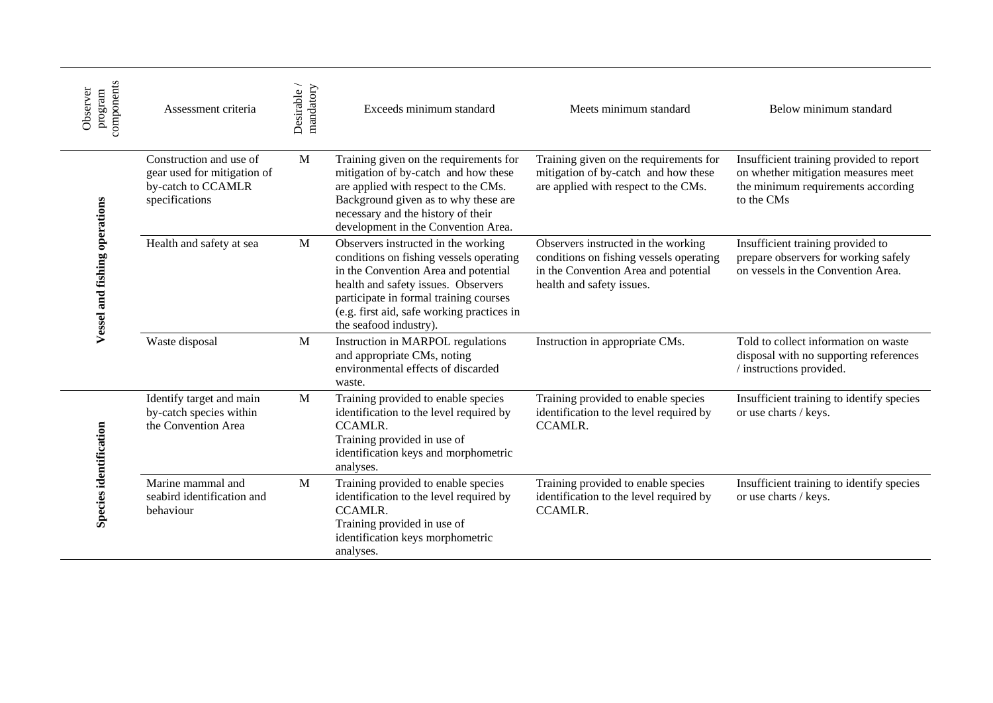| components<br>Observer<br>program | Assessment criteria                                                                            | Desirable/<br>mandatory | Exceeds minimum standard                                                                                                                                                                                                                                                        | Meets minimum standard                                                                                                                              | Below minimum standard                                                                                                              |
|-----------------------------------|------------------------------------------------------------------------------------------------|-------------------------|---------------------------------------------------------------------------------------------------------------------------------------------------------------------------------------------------------------------------------------------------------------------------------|-----------------------------------------------------------------------------------------------------------------------------------------------------|-------------------------------------------------------------------------------------------------------------------------------------|
|                                   | Construction and use of<br>gear used for mitigation of<br>by-catch to CCAMLR<br>specifications | M                       | Training given on the requirements for<br>mitigation of by-catch and how these<br>are applied with respect to the CMs.<br>Background given as to why these are<br>necessary and the history of their<br>development in the Convention Area.                                     | Training given on the requirements for<br>mitigation of by-catch and how these<br>are applied with respect to the CMs.                              | Insufficient training provided to report<br>on whether mitigation measures meet<br>the minimum requirements according<br>to the CMs |
| Vessel and fishing operations     | Health and safety at sea                                                                       | M                       | Observers instructed in the working<br>conditions on fishing vessels operating<br>in the Convention Area and potential<br>health and safety issues. Observers<br>participate in formal training courses<br>(e.g. first aid, safe working practices in<br>the seafood industry). | Observers instructed in the working<br>conditions on fishing vessels operating<br>in the Convention Area and potential<br>health and safety issues. | Insufficient training provided to<br>prepare observers for working safely<br>on vessels in the Convention Area.                     |
|                                   | Waste disposal                                                                                 | M                       | Instruction in MARPOL regulations<br>and appropriate CMs, noting<br>environmental effects of discarded<br>waste.                                                                                                                                                                | Instruction in appropriate CMs.                                                                                                                     | Told to collect information on waste<br>disposal with no supporting references<br>/ instructions provided.                          |
| Species identification            | Identify target and main<br>by-catch species within<br>the Convention Area                     | M                       | Training provided to enable species<br>identification to the level required by<br><b>CCAMLR.</b><br>Training provided in use of<br>identification keys and morphometric<br>analyses.                                                                                            | Training provided to enable species<br>identification to the level required by<br><b>CCAMLR.</b>                                                    | Insufficient training to identify species<br>or use charts / keys.                                                                  |
|                                   | Marine mammal and<br>seabird identification and<br>behaviour                                   | M                       | Training provided to enable species<br>identification to the level required by<br><b>CCAMLR.</b><br>Training provided in use of<br>identification keys morphometric<br>analyses.                                                                                                | Training provided to enable species<br>identification to the level required by<br><b>CCAMLR.</b>                                                    | Insufficient training to identify species<br>or use charts / keys.                                                                  |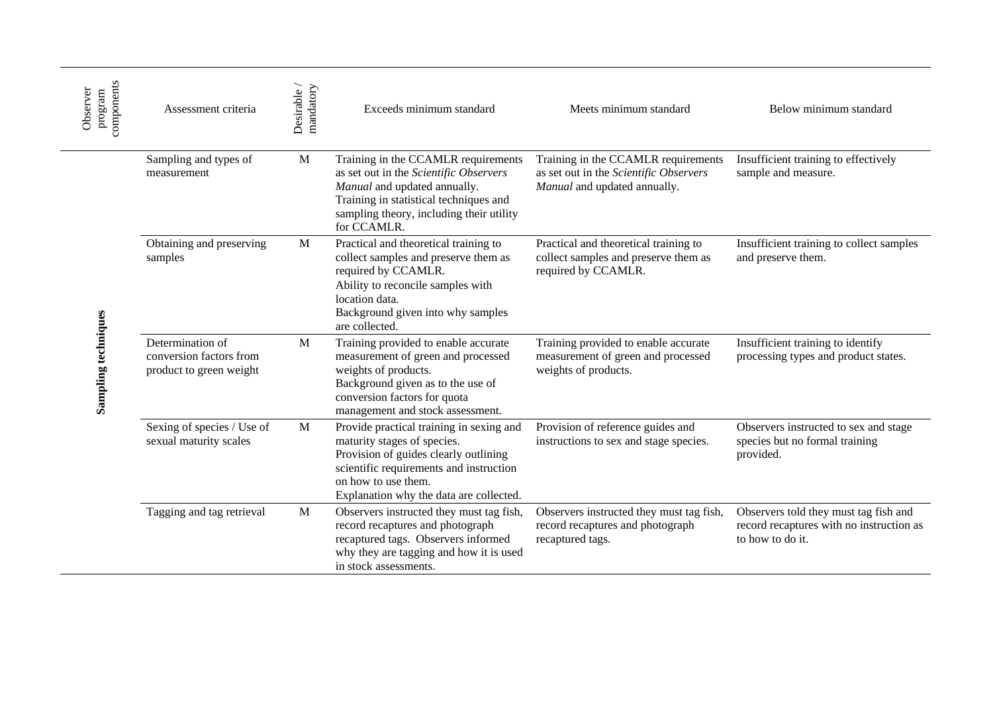| components<br>Observer<br>program | Assessment criteria                                                    | Desirable /<br>mandatory | Exceeds minimum standard                                                                                                                                                                                                      | Meets minimum standard                                                                                        | Below minimum standard                                                                                |
|-----------------------------------|------------------------------------------------------------------------|--------------------------|-------------------------------------------------------------------------------------------------------------------------------------------------------------------------------------------------------------------------------|---------------------------------------------------------------------------------------------------------------|-------------------------------------------------------------------------------------------------------|
|                                   | Sampling and types of<br>measurement                                   | M                        | Training in the CCAMLR requirements<br>as set out in the Scientific Observers<br>Manual and updated annually.<br>Training in statistical techniques and<br>sampling theory, including their utility<br>for CCAMLR.            | Training in the CCAMLR requirements<br>as set out in the Scientific Observers<br>Manual and updated annually. | Insufficient training to effectively<br>sample and measure.                                           |
| Sampling techniques               | Obtaining and preserving<br>samples                                    | $\mathbf{M}$             | Practical and theoretical training to<br>collect samples and preserve them as<br>required by CCAMLR.<br>Ability to reconcile samples with<br>location data.<br>Background given into why samples<br>are collected.            | Practical and theoretical training to<br>collect samples and preserve them as<br>required by CCAMLR.          | Insufficient training to collect samples<br>and preserve them.                                        |
|                                   | Determination of<br>conversion factors from<br>product to green weight | $\mathbf{M}$             | Training provided to enable accurate<br>measurement of green and processed<br>weights of products.<br>Background given as to the use of<br>conversion factors for quota<br>management and stock assessment.                   | Training provided to enable accurate<br>measurement of green and processed<br>weights of products.            | Insufficient training to identify<br>processing types and product states.                             |
|                                   | Sexing of species / Use of<br>sexual maturity scales                   | $\mathbf{M}$             | Provide practical training in sexing and<br>maturity stages of species.<br>Provision of guides clearly outlining<br>scientific requirements and instruction<br>on how to use them.<br>Explanation why the data are collected. | Provision of reference guides and<br>instructions to sex and stage species.                                   | Observers instructed to sex and stage<br>species but no formal training<br>provided.                  |
|                                   | Tagging and tag retrieval                                              | $\mathbf{M}$             | Observers instructed they must tag fish,<br>record recaptures and photograph<br>recaptured tags. Observers informed<br>why they are tagging and how it is used<br>in stock assessments.                                       | Observers instructed they must tag fish,<br>record recaptures and photograph<br>recaptured tags.              | Observers told they must tag fish and<br>record recaptures with no instruction as<br>to how to do it. |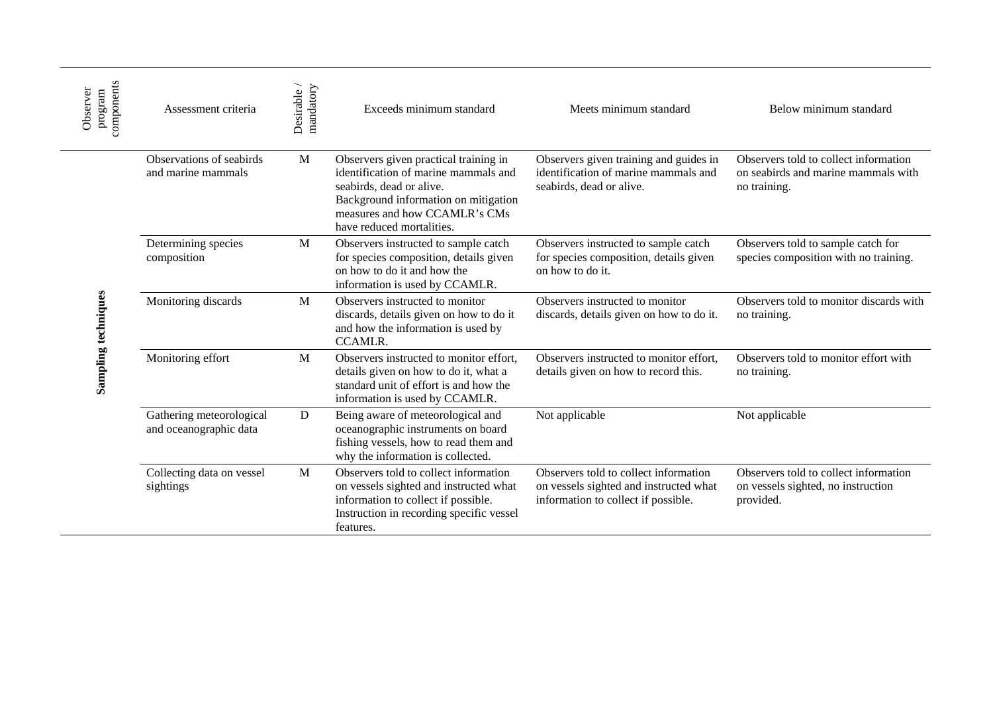| components<br>Observer<br>program | Assessment criteria                                | Desirable/<br>mandatory | Exceeds minimum standard                                                                                                                                                                                        | Meets minimum standard                                                                                                 | Below minimum standard                                                                       |
|-----------------------------------|----------------------------------------------------|-------------------------|-----------------------------------------------------------------------------------------------------------------------------------------------------------------------------------------------------------------|------------------------------------------------------------------------------------------------------------------------|----------------------------------------------------------------------------------------------|
|                                   | Observations of seabirds<br>and marine mammals     | M                       | Observers given practical training in<br>identification of marine mammals and<br>seabirds, dead or alive.<br>Background information on mitigation<br>measures and how CCAMLR's CMs<br>have reduced mortalities. | Observers given training and guides in<br>identification of marine mammals and<br>seabirds, dead or alive.             | Observers told to collect information<br>on seabirds and marine mammals with<br>no training. |
| Sampling techniques               | Determining species<br>composition                 | M                       | Observers instructed to sample catch<br>for species composition, details given<br>on how to do it and how the<br>information is used by CCAMLR.                                                                 | Observers instructed to sample catch<br>for species composition, details given<br>on how to do it.                     | Observers told to sample catch for<br>species composition with no training.                  |
|                                   | Monitoring discards                                | M                       | Observers instructed to monitor<br>discards, details given on how to do it<br>and how the information is used by<br><b>CCAMLR.</b>                                                                              | Observers instructed to monitor<br>discards, details given on how to do it.                                            | Observers told to monitor discards with<br>no training.                                      |
|                                   | Monitoring effort                                  | M                       | Observers instructed to monitor effort,<br>details given on how to do it, what a<br>standard unit of effort is and how the<br>information is used by CCAMLR.                                                    | Observers instructed to monitor effort,<br>details given on how to record this.                                        | Observers told to monitor effort with<br>no training.                                        |
|                                   | Gathering meteorological<br>and oceanographic data | D                       | Being aware of meteorological and<br>oceanographic instruments on board<br>fishing vessels, how to read them and<br>why the information is collected.                                                           | Not applicable                                                                                                         | Not applicable                                                                               |
|                                   | Collecting data on vessel<br>sightings             | M                       | Observers told to collect information<br>on vessels sighted and instructed what<br>information to collect if possible.<br>Instruction in recording specific vessel<br>features.                                 | Observers told to collect information<br>on vessels sighted and instructed what<br>information to collect if possible. | Observers told to collect information<br>on vessels sighted, no instruction<br>provided.     |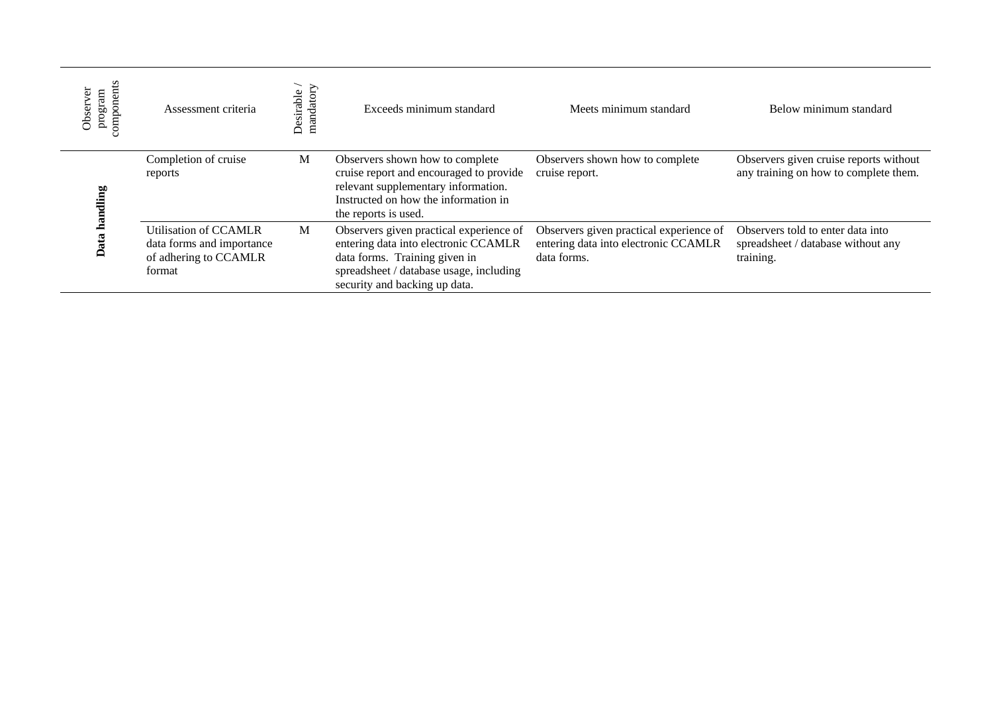| omponents<br>Observer<br>program | Assessment criteria                                                                   | mandatory<br>Desirable | Exceeds minimum standard                                                                                                                                                                     | Meets minimum standard                                                                         | Below minimum standard                                                               |
|----------------------------------|---------------------------------------------------------------------------------------|------------------------|----------------------------------------------------------------------------------------------------------------------------------------------------------------------------------------------|------------------------------------------------------------------------------------------------|--------------------------------------------------------------------------------------|
| lling                            | Completion of cruise<br>reports                                                       | M                      | Observers shown how to complete<br>cruise report and encouraged to provide<br>relevant supplementary information.<br>Instructed on how the information in<br>the reports is used.            | Observers shown how to complete<br>cruise report.                                              | Observers given cruise reports without<br>any training on how to complete them.      |
|                                  | Utilisation of CCAMLR<br>data forms and importance<br>of adhering to CCAMLR<br>format | M                      | Observers given practical experience of<br>entering data into electronic CCAMLR<br>data forms. Training given in<br>spreadsheet / database usage, including<br>security and backing up data. | Observers given practical experience of<br>entering data into electronic CCAMLR<br>data forms. | Observers told to enter data into<br>spreadsheet / database without any<br>training. |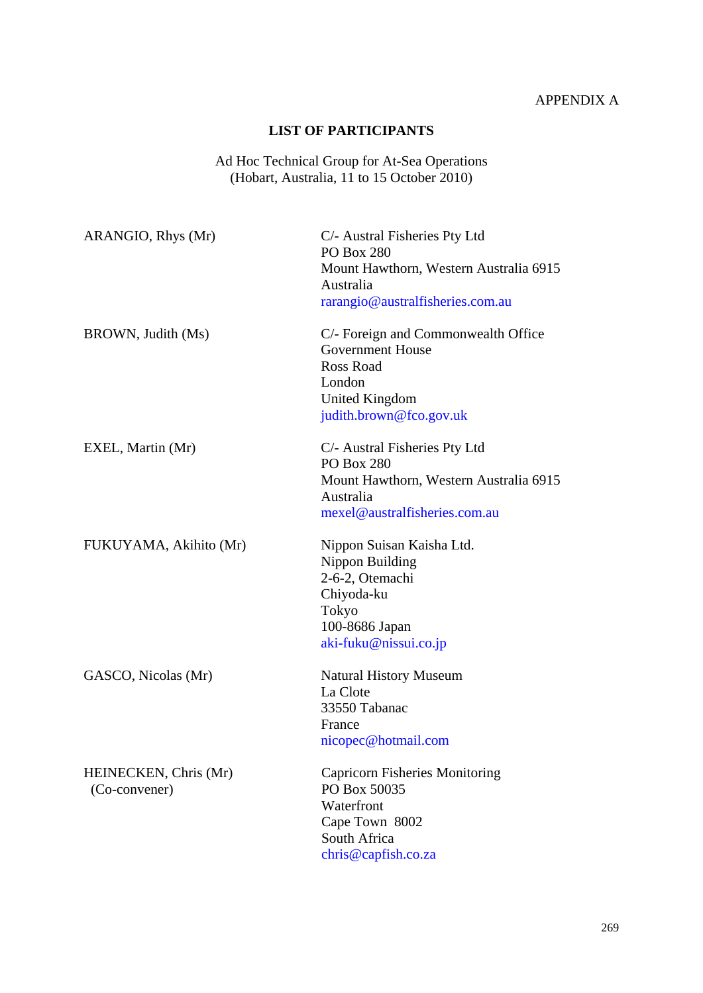## APPENDIX A

### **LIST OF PARTICIPANTS**

Ad Hoc Technical Group for At-Sea Operations (Hobart, Australia, 11 to 15 October 2010)

<span id="page-24-0"></span>

| ARANGIO, Rhys (Mr)     | C/- Austral Fisheries Pty Ltd<br><b>PO Box 280</b>             |
|------------------------|----------------------------------------------------------------|
|                        | Mount Hawthorn, Western Australia 6915<br>Australia            |
|                        | rarangio@australfisheries.com.au                               |
| BROWN, Judith (Ms)     | C/- Foreign and Commonwealth Office<br><b>Government House</b> |
|                        | <b>Ross Road</b>                                               |
|                        | London                                                         |
|                        | <b>United Kingdom</b>                                          |
|                        | judith.brown@fco.gov.uk                                        |
| EXEL, Martin (Mr)      | C/- Austral Fisheries Pty Ltd<br><b>PO Box 280</b>             |
|                        | Mount Hawthorn, Western Australia 6915                         |
|                        | Australia                                                      |
|                        | mexel@australfisheries.com.au                                  |
| FUKUYAMA, Akihito (Mr) | Nippon Suisan Kaisha Ltd.                                      |
|                        | Nippon Building                                                |
|                        | 2-6-2, Otemachi                                                |
|                        | Chiyoda-ku                                                     |
|                        | Tokyo                                                          |
|                        | 100-8686 Japan                                                 |
|                        | aki-fuku@nissui.co.jp                                          |
| GASCO, Nicolas (Mr)    | <b>Natural History Museum</b>                                  |
|                        | La Clote                                                       |
|                        | 33550 Tabanac                                                  |
|                        | France                                                         |
|                        | nicopec@hotmail.com                                            |
| HEINECKEN, Chris (Mr)  | <b>Capricorn Fisheries Monitoring</b>                          |
| (Co-convener)          | PO Box 50035                                                   |
|                        | Waterfront                                                     |
|                        | Cape Town 8002                                                 |
|                        | South Africa                                                   |
|                        | chris@capfish.co.za                                            |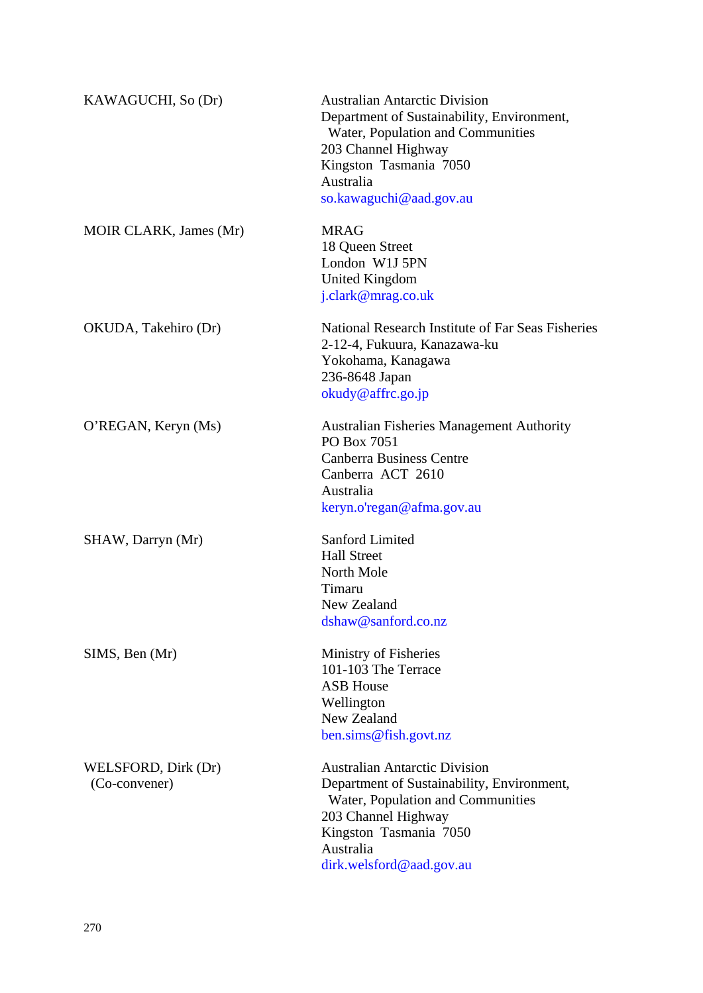| KAWAGUCHI, So (Dr)                   | <b>Australian Antarctic Division</b><br>Department of Sustainability, Environment,<br>Water, Population and Communities<br>203 Channel Highway<br>Kingston Tasmania 7050<br>Australia<br>so.kawaguchi@aad.gov.au  |
|--------------------------------------|-------------------------------------------------------------------------------------------------------------------------------------------------------------------------------------------------------------------|
| MOIR CLARK, James (Mr)               | <b>MRAG</b><br>18 Queen Street<br>London W1J 5PN<br>United Kingdom<br>j.clark@mrag.co.uk                                                                                                                          |
| OKUDA, Takehiro (Dr)                 | National Research Institute of Far Seas Fisheries<br>2-12-4, Fukuura, Kanazawa-ku<br>Yokohama, Kanagawa<br>236-8648 Japan<br>okudy@affrc.go.jp                                                                    |
| O'REGAN, Keryn (Ms)                  | <b>Australian Fisheries Management Authority</b><br>PO Box 7051<br><b>Canberra Business Centre</b><br>Canberra ACT 2610<br>Australia<br>keryn.o'regan@afma.gov.au                                                 |
| SHAW, Darryn (Mr)                    | <b>Sanford Limited</b><br><b>Hall Street</b><br>North Mole<br>Timaru<br>New Zealand<br>dshaw@sanford.co.nz                                                                                                        |
| SIMS, Ben (Mr)                       | Ministry of Fisheries<br>101-103 The Terrace<br><b>ASB House</b><br>Wellington<br>New Zealand<br>ben.sims@fish.govt.nz                                                                                            |
| WELSFORD, Dirk (Dr)<br>(Co-convener) | <b>Australian Antarctic Division</b><br>Department of Sustainability, Environment,<br>Water, Population and Communities<br>203 Channel Highway<br>Kingston Tasmania 7050<br>Australia<br>dirk.welsford@aad.gov.au |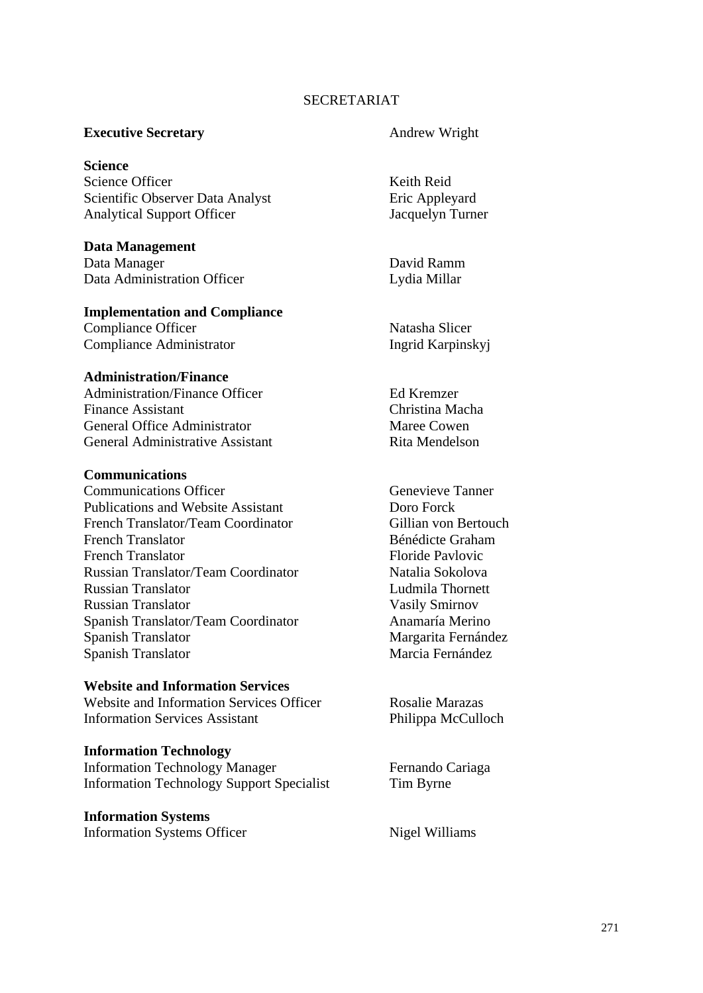#### SECRETARIAT

#### **Executive Secretary Andrew Wright**

**Science** Science Officer Neith Reid Scientific Observer Data Analyst Eric Appleyard Analytical Support Officer Jacquelyn Turner

**Data Management**  Data Manager David Ramm Data Administration Officer Lydia Millar

## **Implementation and Compliance**

Compliance Officer Natasha Slicer Compliance Administrator Ingrid Karpinskyj

#### **Administration/Finance**

Administration/Finance Officer Ed Kremzer Finance Assistant Christina Macha General Office Administrator Maree Cowen General Administrative Assistant Rita Mendelson

#### **Communications**

**Communications Officer Communications Officer** Genevieve Tanner Publications and Website Assistant Doro Forck French Translator/Team Coordinator Gillian von Bertouch French Translator Bénédicte Graham French Translator Floride Pavlovic Russian Translator/Team Coordinator Natalia Sokolova Russian Translator Ludmila Thornett Russian Translator Vasily Smirnov Spanish Translator/Team Coordinator Anamaría Merino Spanish Translator Margarita Fernández Spanish Translator Marcia Fernández

#### **Website and Information Services**

Website and Information Services Officer Rosalie Marazas Information Services Assistant Philippa McCulloch

#### **Information Technology**

Information Technology Manager Fernando Cariaga Information Technology Support Specialist Tim Byrne

**Information Systems**  Information Systems Officer Nigel Williams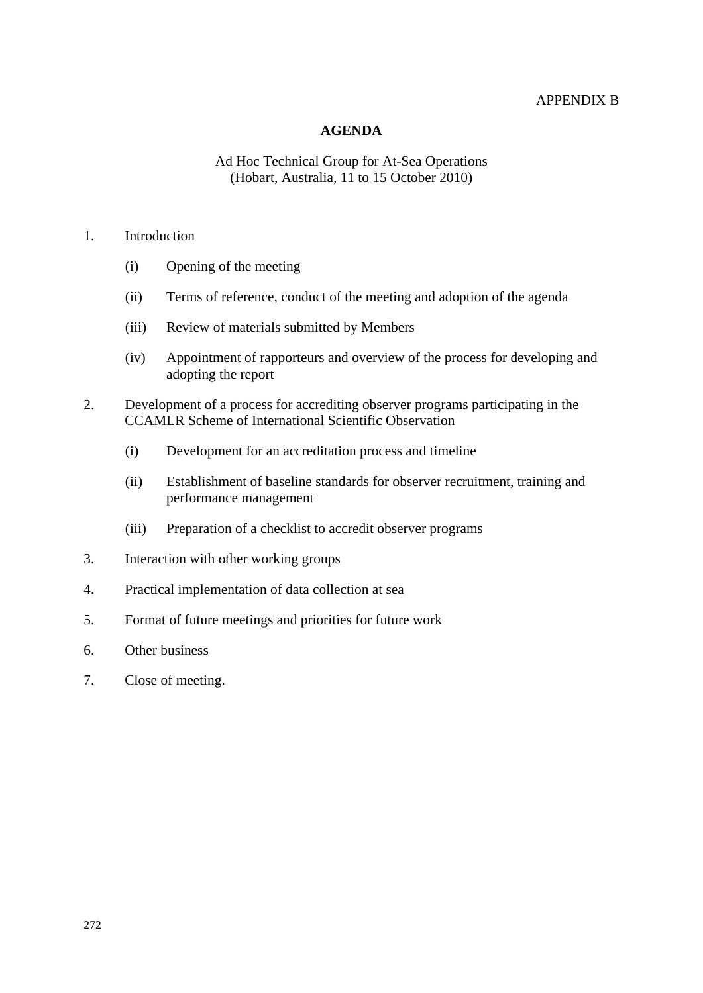#### APPENDIX B

#### **AGENDA**

### Ad Hoc Technical Group for At-Sea Operations (Hobart, Australia, 11 to 15 October 2010)

#### <span id="page-27-0"></span>1. Introduction

- (i) Opening of the meeting
- (ii) Terms of reference, conduct of the meeting and adoption of the agenda
- (iii) Review of materials submitted by Members
- (iv) Appointment of rapporteurs and overview of the process for developing and adopting the report
- 2. Development of a process for accrediting observer programs participating in the CCAMLR Scheme of International Scientific Observation
	- (i) Development for an accreditation process and timeline
	- (ii) Establishment of baseline standards for observer recruitment, training and performance management
	- (iii) Preparation of a checklist to accredit observer programs
- 3. Interaction with other working groups
- 4. Practical implementation of data collection at sea
- 5. Format of future meetings and priorities for future work
- 6. Other business
- 7. Close of meeting.